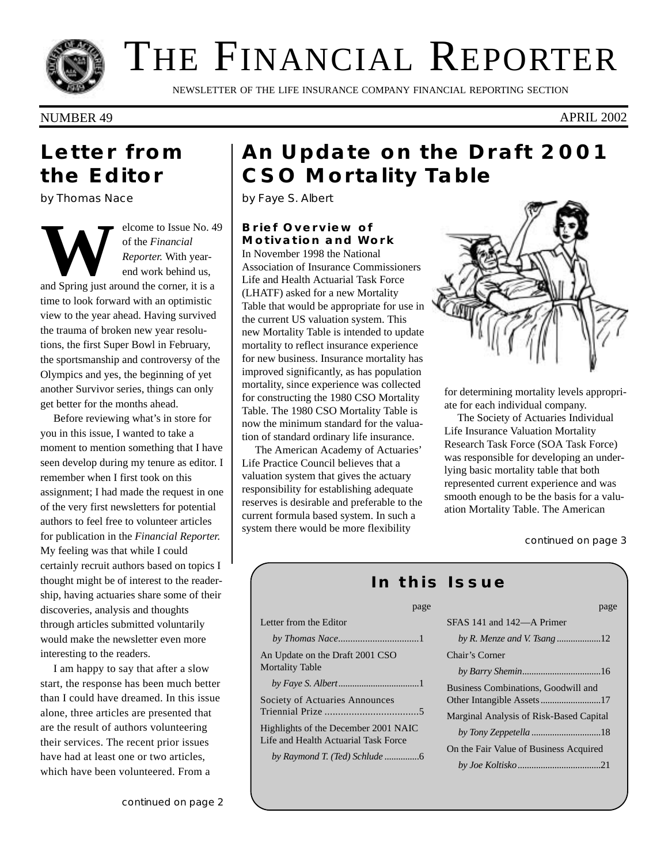

# THE FINANCIAL REPORTER

NEWSLETTER OF THE LIFE INSURANCE COMPANY FINANCIAL REPORTING SECTION

NUMBER 49 APRIL 2002

### **Letter from the Editor**

*by Thomas Nace*

**WELFER SET SET SET SET SET SET SET SET SET SPRING A Spring just around the corner, it is a** set of  $\frac{1}{2}$  and Spring just around the corner, it is a of the *Financial Reporter.* With yearend work behind us, time to look forward with an optimistic view to the year ahead. Having survived the trauma of broken new year resolutions, the first Super Bowl in February, the sportsmanship and controversy of the Olympics and yes, the beginning of yet another Survivor series, things can only get better for the months ahead.

Before reviewing what's in store for you in this issue, I wanted to take a moment to mention something that I have seen develop during my tenure as editor. I remember when I first took on this assignment; I had made the request in one of the very first newsletters for potential authors to feel free to volunteer articles for publication in the *Financial Reporter.* My feeling was that while I could certainly recruit authors based on topics I thought might be of interest to the readership, having actuaries share some of their discoveries, analysis and thoughts through articles submitted voluntarily would make the newsletter even more interesting to the readers.

I am happy to say that after a slow start, the response has been much better than I could have dreamed. In this issue alone, three articles are presented that are the result of authors volunteering their services. The recent prior issues have had at least one or two articles, which have been volunteered. From a

## **An Update on the Draft 2001 CSO Mortality Table**

*by Faye S. Albert*

#### **Brief Overview of Motivation and Work**

In November 1998 the National Association of Insurance Commissioners Life and Health Actuarial Task Force (LHATF) asked for a new Mortality Table that would be appropriate for use in the current US valuation system. This new Mortality Table is intended to update mortality to reflect insurance experience for new business. Insurance mortality has improved significantly, as has population mortality, since experience was collected for constructing the 1980 CSO Mortality Table. The 1980 CSO Mortality Table is now the minimum standard for the valuation of standard ordinary life insurance.

The American Academy of Actuaries' Life Practice Council believes that a valuation system that gives the actuary responsibility for establishing adequate reserves is desirable and preferable to the current formula based system. In such a system there would be more flexibility

Lette

An U Mort

Life



for determining mortality levels appropriate for each individual company.

The Society of Actuaries Individual Life Insurance Valuation Mortality Research Task Force (SOA Task Force) was responsible for developing an underlying basic mortality table that both represented current experience and was smooth enough to be the basis for a valuation Mortality Table. The American

### *In this Issue*

| page                                                                         |                           |
|------------------------------------------------------------------------------|---------------------------|
| Letter from the Editor                                                       | SFAS 141 and 142-A P      |
|                                                                              | by R. Menze and V. Tsa    |
| An Update on the Draft 2001 CSO                                              | Chair's Corner            |
| <b>Mortality Table</b>                                                       | by Barry Shemin           |
|                                                                              | Business Combinations,    |
| <b>Society of Actuaries Announces</b>                                        | Other Intangible Assets   |
|                                                                              | Marginal Analysis of Ris  |
| Highlights of the December 2001 NAIC<br>Life and Health Actuarial Task Force | by Tony Zeppetella        |
|                                                                              | On the Fair Value of Bus. |
|                                                                              | by Joe Koltisko           |
|                                                                              |                           |

| page                                           |
|------------------------------------------------|
| SFAS 141 and 142—A Primer                      |
|                                                |
| Chair's Corner                                 |
|                                                |
| Business Combinations, Goodwill and            |
| <b>Marginal Analysis of Risk-Based Capital</b> |
|                                                |
| On the Fair Value of Business Acquired         |
|                                                |
|                                                |

*continued on page 3*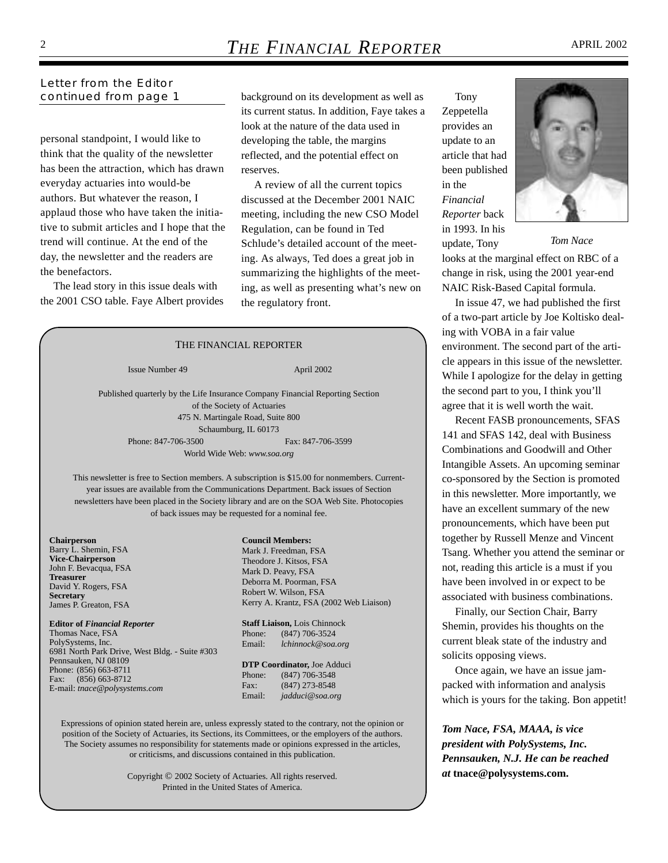#### *Letter from the Editor continued from page 1*

personal standpoint, I would like to think that the quality of the newsletter has been the attraction, which has drawn everyday actuaries into would-be authors. But whatever the reason, I applaud those who have taken the initiative to submit articles and I hope that the trend will continue. At the end of the day, the newsletter and the readers are the benefactors.

The lead story in this issue deals with the 2001 CSO table. Faye Albert provides background on its development as well as its current status. In addition, Faye takes a look at the nature of the data used in developing the table, the margins reflected, and the potential effect on reserves.

A review of all the current topics discussed at the December 2001 NAIC meeting, including the new CSO Model Regulation, can be found in Ted Schlude's detailed account of the meeting. As always, Ted does a great job in summarizing the highlights of the meeting, as well as presenting what's new on the regulatory front.

#### **Chairperson** Barry L. Shemin, FSA **Vice-Chairperson** John F. Bevacqua, FSA **Treasurer** David Y. Rogers, FSA **Secretary** James P. Greaton, FSA **Editor of** *Financial Reporter* Thomas Nace, FSA PolySystems, Inc. 6981 North Park Drive, West Bldg. - Suite #303 Pennsauken, NJ 08109 Phone: (856) 663-8711 Fax: (856) 663-8712 E-mail: *tnace@polysystems.com* **Council Members:** Mark J. Freedman, FSA Theodore J. Kitsos, FSA Mark D. Peavy, FSA Deborra M. Poorman, FSA Robert W. Wilson, FSA Kerry A. Krantz, FSA (2002 Web Liaison) **Staff Liaison,** Lois Chinnock Phone: (847) 706-3524 Email: *lchinnock@soa.org*  **DTP Coordinator,** Joe Adduci Phone: (847) 706-3548 Fax: (847) 273-8548 Email: *jadduci@soa.org* THE FINANCIAL REPORTER Issue Number 49 April 2002 Published quarterly by the Life Insurance Company Financial Reporting Section of the Society of Actuaries 475 N. Martingale Road, Suite 800 Schaumburg, IL 60173 Phone: 847-706-3500 Fax: 847-706-3599 World Wide Web: *www.soa.org* This newsletter is free to Section members. A subscription is \$15.00 for nonmembers. Currentyear issues are available from the Communications Department. Back issues of Section newsletters have been placed in the Society library and are on the SOA Web Site. Photocopies of back issues may be requested for a nominal fee.

Expressions of opinion stated herein are, unless expressly stated to the contrary, not the opinion or position of the Society of Actuaries, its Sections, its Committees, or the employers of the authors. The Society assumes no responsibility for statements made or opinions expressed in the articles, or criticisms, and discussions contained in this publication.

> Copyright © 2002 Society of Actuaries. All rights reserved. Printed in the United States of America.

Tony Zeppetella provides an update to an article that had been published in the *Financial Reporter* back in 1993. In his update, Tony



*Tom Nace*

looks at the marginal effect on RBC of a change in risk, using the 2001 year-end NAIC Risk-Based Capital formula.

In issue 47, we had published the first of a two-part article by Joe Koltisko dealing with VOBA in a fair value environment. The second part of the article appears in this issue of the newsletter. While I apologize for the delay in getting the second part to you, I think you'll agree that it is well worth the wait.

Recent FASB pronouncements, SFAS 141 and SFAS 142, deal with Business Combinations and Goodwill and Other Intangible Assets. An upcoming seminar co-sponsored by the Section is promoted in this newsletter. More importantly, we have an excellent summary of the new pronouncements, which have been put together by Russell Menze and Vincent Tsang. Whether you attend the seminar or not, reading this article is a must if you have been involved in or expect to be associated with business combinations.

Finally, our Section Chair, Barry Shemin, provides his thoughts on the current bleak state of the industry and solicits opposing views.

Once again, we have an issue jampacked with information and analysis which is yours for the taking. Bon appetit!

*Tom Nace, FSA, MAAA, is vice president with PolySystems, Inc. Pennsauken, N.J. He can be reached at* **tnace@polysystems.com.**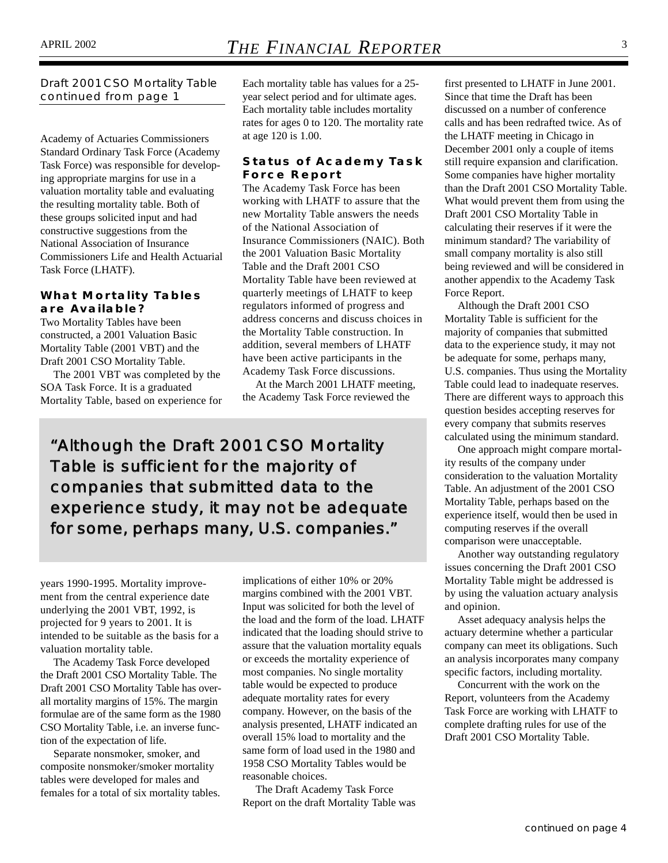*Draft 2001 CSO Mortality Table continued from page 1*

Academy of Actuaries Commissioners Standard Ordinary Task Force (Academy Task Force) was responsible for developing appropriate margins for use in a valuation mortality table and evaluating the resulting mortality table. Both of these groups solicited input and had constructive suggestions from the National Association of Insurance Commissioners Life and Health Actuarial Task Force (LHATF).

#### **What Mortality Tables are Available?**

Two Mortality Tables have been constructed, a 2001 Valuation Basic Mortality Table (2001 VBT) and the Draft 2001 CSO Mortality Table.

The 2001 VBT was completed by the SOA Task Force. It is a graduated Mortality Table, based on experience for Each mortality table has values for a 25 year select period and for ultimate ages. Each mortality table includes mortality rates for ages 0 to 120. The mortality rate at age 120 is 1.00.

#### **Status of Academy Task Force Report**

The Academy Task Force has been working with LHATF to assure that the new Mortality Table answers the needs of the National Association of Insurance Commissioners (NAIC). Both the 2001 Valuation Basic Mortality Table and the Draft 2001 CSO Mortality Table have been reviewed at quarterly meetings of LHATF to keep regulators informed of progress and address concerns and discuss choices in the Mortality Table construction. In addition, several members of LHATF have been active participants in the Academy Task Force discussions.

At the March 2001 LHATF meeting, the Academy Task Force reviewed the

*"Although the Draft 2001 CSO Mortality Table is sufficient for the majority of companies that submitted data to the experience study, it may not be adequate for some, perhaps many, U.S. companies."*

years 1990-1995. Mortality improvement from the central experience date underlying the 2001 VBT, 1992, is projected for 9 years to 2001. It is intended to be suitable as the basis for a valuation mortality table.

The Academy Task Force developed the Draft 2001 CSO Mortality Table. The Draft 2001 CSO Mortality Table has overall mortality margins of 15%. The margin formulae are of the same form as the 1980 CSO Mortality Table, i.e. an inverse function of the expectation of life.

Separate nonsmoker, smoker, and composite nonsmoker/smoker mortality tables were developed for males and females for a total of six mortality tables. implications of either 10% or 20% margins combined with the 2001 VBT. Input was solicited for both the level of the load and the form of the load. LHATF indicated that the loading should strive to assure that the valuation mortality equals or exceeds the mortality experience of most companies. No single mortality table would be expected to produce adequate mortality rates for every company. However, on the basis of the analysis presented, LHATF indicated an overall 15% load to mortality and the same form of load used in the 1980 and 1958 CSO Mortality Tables would be reasonable choices.

The Draft Academy Task Force Report on the draft Mortality Table was

first presented to LHATF in June 2001. Since that time the Draft has been discussed on a number of conference calls and has been redrafted twice. As of the LHATF meeting in Chicago in December 2001 only a couple of items still require expansion and clarification. Some companies have higher mortality than the Draft 2001 CSO Mortality Table. What would prevent them from using the Draft 2001 CSO Mortality Table in calculating their reserves if it were the minimum standard? The variability of small company mortality is also still being reviewed and will be considered in another appendix to the Academy Task Force Report.

Although the Draft 2001 CSO Mortality Table is sufficient for the majority of companies that submitted data to the experience study, it may not be adequate for some, perhaps many, U.S. companies. Thus using the Mortality Table could lead to inadequate reserves. There are different ways to approach this question besides accepting reserves for every company that submits reserves calculated using the minimum standard.

One approach might compare mortality results of the company under consideration to the valuation Mortality Table. An adjustment of the 2001 CSO Mortality Table, perhaps based on the experience itself, would then be used in computing reserves if the overall comparison were unacceptable.

Another way outstanding regulatory issues concerning the Draft 2001 CSO Mortality Table might be addressed is by using the valuation actuary analysis and opinion.

Asset adequacy analysis helps the actuary determine whether a particular company can meet its obligations. Such an analysis incorporates many company specific factors, including mortality.

Concurrent with the work on the Report, volunteers from the Academy Task Force are working with LHATF to complete drafting rules for use of the Draft 2001 CSO Mortality Table.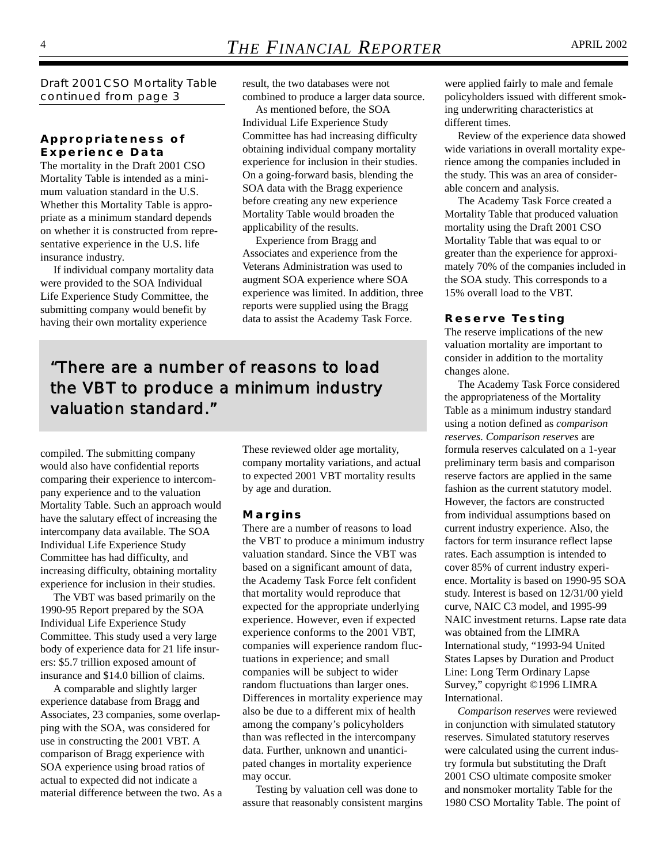*Draft 2001 CSO Mortality Table continued from page 3*

#### **Appropriateness of Experience Data**

The mortality in the Draft 2001 CSO Mortality Table is intended as a minimum valuation standard in the U.S. Whether this Mortality Table is appropriate as a minimum standard depends on whether it is constructed from representative experience in the U.S. life insurance industry.

If individual company mortality data were provided to the SOA Individual Life Experience Study Committee, the submitting company would benefit by having their own mortality experience

result, the two databases were not combined to produce a larger data source.

As mentioned before, the SOA Individual Life Experience Study Committee has had increasing difficulty obtaining individual company mortality experience for inclusion in their studies. On a going-forward basis, blending the SOA data with the Bragg experience before creating any new experience Mortality Table would broaden the applicability of the results.

Experience from Bragg and Associates and experience from the Veterans Administration was used to augment SOA experience where SOA experience was limited. In addition, three reports were supplied using the Bragg data to assist the Academy Task Force.

*"There are a number of reasons to load the VBT to produce a minimum industry valuation standard."*

compiled. The submitting company would also have confidential reports comparing their experience to intercompany experience and to the valuation Mortality Table. Such an approach would have the salutary effect of increasing the intercompany data available. The SOA Individual Life Experience Study Committee has had difficulty, and increasing difficulty, obtaining mortality experience for inclusion in their studies.

The VBT was based primarily on the 1990-95 Report prepared by the SOA Individual Life Experience Study Committee. This study used a very large body of experience data for 21 life insurers: \$5.7 trillion exposed amount of insurance and \$14.0 billion of claims.

A comparable and slightly larger experience database from Bragg and Associates, 23 companies, some overlapping with the SOA, was considered for use in constructing the 2001 VBT. A comparison of Bragg experience with SOA experience using broad ratios of actual to expected did not indicate a material difference between the two. As a These reviewed older age mortality, company mortality variations, and actual to expected 2001 VBT mortality results by age and duration.

#### **Margins**

There are a number of reasons to load the VBT to produce a minimum industry valuation standard. Since the VBT was based on a significant amount of data, the Academy Task Force felt confident that mortality would reproduce that expected for the appropriate underlying experience. However, even if expected experience conforms to the 2001 VBT, companies will experience random fluctuations in experience; and small companies will be subject to wider random fluctuations than larger ones. Differences in mortality experience may also be due to a different mix of health among the company's policyholders than was reflected in the intercompany data. Further, unknown and unanticipated changes in mortality experience may occur.

Testing by valuation cell was done to assure that reasonably consistent margins were applied fairly to male and female policyholders issued with different smoking underwriting characteristics at different times.

Review of the experience data showed wide variations in overall mortality experience among the companies included in the study. This was an area of considerable concern and analysis.

The Academy Task Force created a Mortality Table that produced valuation mortality using the Draft 2001 CSO Mortality Table that was equal to or greater than the experience for approximately 70% of the companies included in the SOA study. This corresponds to a 15% overall load to the VBT.

#### **Reserve Testing**

The reserve implications of the new valuation mortality are important to consider in addition to the mortality changes alone.

The Academy Task Force considered the appropriateness of the Mortality Table as a minimum industry standard using a notion defined as *comparison reserves. Comparison reserves* are formula reserves calculated on a 1-year preliminary term basis and comparison reserve factors are applied in the same fashion as the current statutory model. However, the factors are constructed from individual assumptions based on current industry experience. Also, the factors for term insurance reflect lapse rates. Each assumption is intended to cover 85% of current industry experience. Mortality is based on 1990-95 SOA study. Interest is based on 12/31/00 yield curve, NAIC C3 model, and 1995-99 NAIC investment returns. Lapse rate data was obtained from the LIMRA International study, "1993-94 United States Lapses by Duration and Product Line: Long Term Ordinary Lapse Survey," copyright ©1996 LIMRA International.

*Comparison reserves* were reviewed in conjunction with simulated statutory reserves. Simulated statutory reserves were calculated using the current industry formula but substituting the Draft 2001 CSO ultimate composite smoker and nonsmoker mortality Table for the 1980 CSO Mortality Table. The point of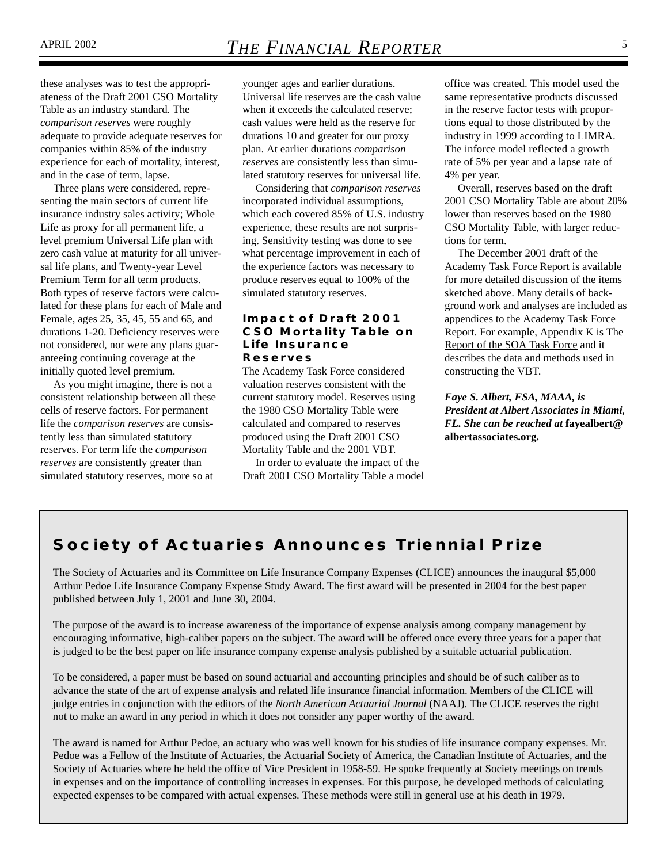these analyses was to test the appropriateness of the Draft 2001 CSO Mortality Table as an industry standard. The *comparison reserves* were roughly adequate to provide adequate reserves for companies within 85% of the industry experience for each of mortality, interest, and in the case of term, lapse.

Three plans were considered, representing the main sectors of current life insurance industry sales activity; Whole Life as proxy for all permanent life, a level premium Universal Life plan with zero cash value at maturity for all universal life plans, and Twenty-year Level Premium Term for all term products. Both types of reserve factors were calculated for these plans for each of Male and Female, ages 25, 35, 45, 55 and 65, and durations 1-20. Deficiency reserves were not considered, nor were any plans guaranteeing continuing coverage at the initially quoted level premium.

As you might imagine, there is not a consistent relationship between all these cells of reserve factors. For permanent life the *comparison reserves* are consistently less than simulated statutory reserves. For term life the *comparison reserves* are consistently greater than simulated statutory reserves, more so at

younger ages and earlier durations. Universal life reserves are the cash value when it exceeds the calculated reserve; cash values were held as the reserve for durations 10 and greater for our proxy plan. At earlier durations *comparison reserves* are consistently less than simulated statutory reserves for universal life.

Considering that *comparison reserves* incorporated individual assumptions, which each covered 85% of U.S. industry experience, these results are not surprising. Sensitivity testing was done to see what percentage improvement in each of the experience factors was necessary to produce reserves equal to 100% of the simulated statutory reserves.

#### **Impact of Draft 2001 CSO Mortality Table on Life Insurance Reserves**

The Academy Task Force considered valuation reserves consistent with the current statutory model. Reserves using the 1980 CSO Mortality Table were calculated and compared to reserves produced using the Draft 2001 CSO Mortality Table and the 2001 VBT.

In order to evaluate the impact of the Draft 2001 CSO Mortality Table a model

office was created. This model used the same representative products discussed in the reserve factor tests with proportions equal to those distributed by the industry in 1999 according to LIMRA. The inforce model reflected a growth rate of 5% per year and a lapse rate of 4% per year.

Overall, reserves based on the draft 2001 CSO Mortality Table are about 20% lower than reserves based on the 1980 CSO Mortality Table, with larger reductions for term.

The December 2001 draft of the Academy Task Force Report is available for more detailed discussion of the items sketched above. Many details of background work and analyses are included as appendices to the Academy Task Force Report. For example, Appendix K is The Report of the SOA Task Force and it describes the data and methods used in constructing the VBT.

*Faye S. Albert, FSA, MAAA, is President at Albert Associates in Miami, FL. She can be reached at* **fayealbert@ albertassociates.org.**

### **Society of Actuaries Announces Triennial Prize**

The Society of Actuaries and its Committee on Life Insurance Company Expenses (CLICE) announces the inaugural \$5,000 Arthur Pedoe Life Insurance Company Expense Study Award. The first award will be presented in 2004 for the best paper published between July 1, 2001 and June 30, 2004.

The purpose of the award is to increase awareness of the importance of expense analysis among company management by encouraging informative, high-caliber papers on the subject. The award will be offered once every three years for a paper that is judged to be the best paper on life insurance company expense analysis published by a suitable actuarial publication.

To be considered, a paper must be based on sound actuarial and accounting principles and should be of such caliber as to advance the state of the art of expense analysis and related life insurance financial information. Members of the CLICE will judge entries in conjunction with the editors of the *North American Actuarial Journal* (NAAJ). The CLICE reserves the right not to make an award in any period in which it does not consider any paper worthy of the award.

The award is named for Arthur Pedoe, an actuary who was well known for his studies of life insurance company expenses. Mr. Pedoe was a Fellow of the Institute of Actuaries, the Actuarial Society of America, the Canadian Institute of Actuaries, and the Society of Actuaries where he held the office of Vice President in 1958-59. He spoke frequently at Society meetings on trends in expenses and on the importance of controlling increases in expenses. For this purpose, he developed methods of calculating expected expenses to be compared with actual expenses. These methods were still in general use at his death in 1979.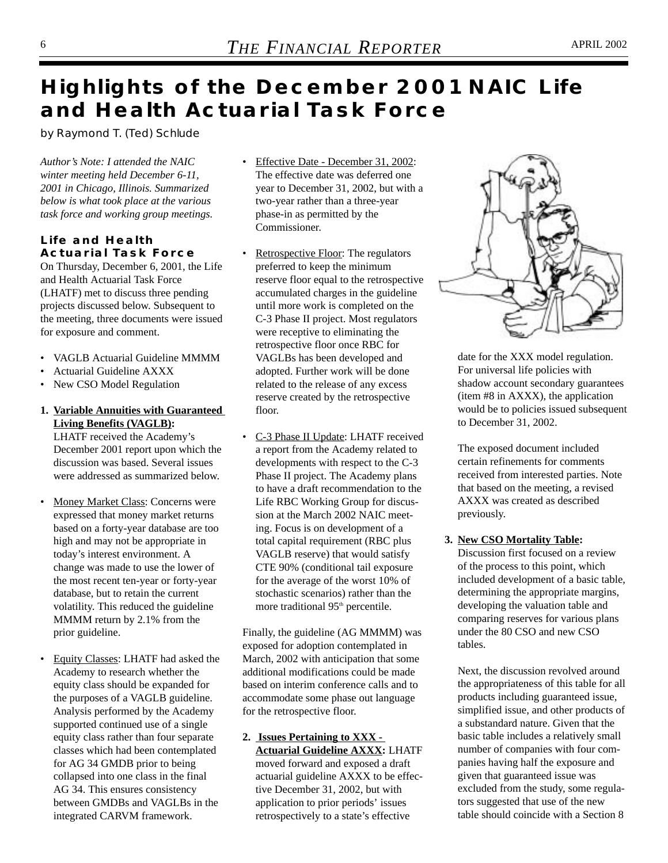## **Highlights of the December 2001 NAIC Life and Health Actuarial Task Force**

*by Raymond T. (Ted) Schlude*

*Author's Note: I attended the NAIC winter meeting held December 6-11, 2001 in Chicago, Illinois. Summarized below is what took place at the various task force and working group meetings.*

#### **Life and Health Actuarial Task Force**

On Thursday, December 6, 2001, the Life and Health Actuarial Task Force (LHATF) met to discuss three pending projects discussed below. Subsequent to the meeting, three documents were issued for exposure and comment.

- VAGLB Actuarial Guideline MMMM
- Actuarial Guideline AXXX
- New CSO Model Regulation
- **1. Variable Annuities with Guaranteed Living Benefits (VAGLB):**

LHATF received the Academy's December 2001 report upon which the discussion was based. Several issues were addressed as summarized below.

- Money Market Class: Concerns were expressed that money market returns based on a forty-year database are too high and may not be appropriate in today's interest environment. A change was made to use the lower of the most recent ten-year or forty-year database, but to retain the current volatility. This reduced the guideline MMMM return by 2.1% from the prior guideline.
- Equity Classes: LHATF had asked the Academy to research whether the equity class should be expanded for the purposes of a VAGLB guideline. Analysis performed by the Academy supported continued use of a single equity class rather than four separate classes which had been contemplated for AG 34 GMDB prior to being collapsed into one class in the final AG 34. This ensures consistency between GMDBs and VAGLBs in the integrated CARVM framework.
- Effective Date December 31, 2002: The effective date was deferred one year to December 31, 2002, but with a two-year rather than a three-year phase-in as permitted by the Commissioner.
- Retrospective Floor: The regulators preferred to keep the minimum reserve floor equal to the retrospective accumulated charges in the guideline until more work is completed on the C-3 Phase II project. Most regulators were receptive to eliminating the retrospective floor once RBC for VAGLBs has been developed and adopted. Further work will be done related to the release of any excess reserve created by the retrospective floor.
- C-3 Phase II Update: LHATF received a report from the Academy related to developments with respect to the C-3 Phase II project. The Academy plans to have a draft recommendation to the Life RBC Working Group for discussion at the March 2002 NAIC meeting. Focus is on development of a total capital requirement (RBC plus VAGLB reserve) that would satisfy CTE 90% (conditional tail exposure for the average of the worst 10% of stochastic scenarios) rather than the more traditional 95<sup>th</sup> percentile.

Finally, the guideline (AG MMMM) was exposed for adoption contemplated in March, 2002 with anticipation that some additional modifications could be made based on interim conference calls and to accommodate some phase out language for the retrospective floor.

#### **2. Issues Pertaining to XXX - Actuarial Guideline AXXX:** LHATF

moved forward and exposed a draft actuarial guideline AXXX to be effective December 31, 2002, but with application to prior periods' issues retrospectively to a state's effective



date for the XXX model regulation. For universal life policies with shadow account secondary guarantees (item #8 in AXXX), the application would be to policies issued subsequent to December 31, 2002.

The exposed document included certain refinements for comments received from interested parties. Note that based on the meeting, a revised AXXX was created as described previously.

#### **3. New CSO Mortality Table:**

Discussion first focused on a review of the process to this point, which included development of a basic table, determining the appropriate margins, developing the valuation table and comparing reserves for various plans under the 80 CSO and new CSO tables.

Next, the discussion revolved around the appropriateness of this table for all products including guaranteed issue, simplified issue, and other products of a substandard nature. Given that the basic table includes a relatively small number of companies with four companies having half the exposure and given that guaranteed issue was excluded from the study, some regulators suggested that use of the new table should coincide with a Section 8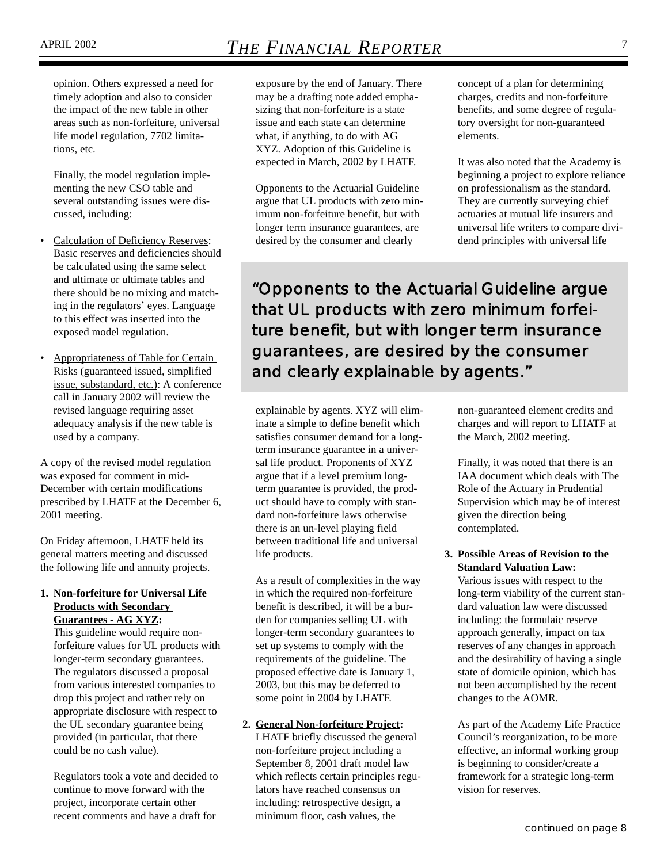opinion. Others expressed a need for timely adoption and also to consider the impact of the new table in other areas such as non-forfeiture, universal life model regulation, 7702 limitations, etc.

Finally, the model regulation implementing the new CSO table and several outstanding issues were discussed, including:

- Calculation of Deficiency Reserves: Basic reserves and deficiencies should be calculated using the same select and ultimate or ultimate tables and there should be no mixing and matching in the regulators' eyes. Language to this effect was inserted into the exposed model regulation.
- Appropriateness of Table for Certain Risks (guaranteed issued, simplified issue, substandard, etc.): A conference call in January 2002 will review the revised language requiring asset adequacy analysis if the new table is used by a company.

A copy of the revised model regulation was exposed for comment in mid-December with certain modifications prescribed by LHATF at the December 6, 2001 meeting.

On Friday afternoon, LHATF held its general matters meeting and discussed the following life and annuity projects.

#### **1. Non-forfeiture for Universal Life Products with Secondary Guarantees - AG XYZ:**

This guideline would require nonforfeiture values for UL products with longer-term secondary guarantees. The regulators discussed a proposal from various interested companies to drop this project and rather rely on appropriate disclosure with respect to the UL secondary guarantee being provided (in particular, that there could be no cash value).

Regulators took a vote and decided to continue to move forward with the project, incorporate certain other recent comments and have a draft for

exposure by the end of January. There may be a drafting note added emphasizing that non-forfeiture is a state issue and each state can determine what, if anything, to do with AG XYZ. Adoption of this Guideline is expected in March, 2002 by LHATF.

Opponents to the Actuarial Guideline argue that UL products with zero minimum non-forfeiture benefit, but with longer term insurance guarantees, are desired by the consumer and clearly

concept of a plan for determining charges, credits and non-forfeiture benefits, and some degree of regulatory oversight for non-guaranteed elements.

It was also noted that the Academy is beginning a project to explore reliance on professionalism as the standard. They are currently surveying chief actuaries at mutual life insurers and universal life writers to compare dividend principles with universal life

*"Opponents to the Actuarial Guideline argue that UL products with zero minimum forfeiture benefit, but with longer term insurance guarantees, are desired by the consumer and clearly explainable by agents."*

explainable by agents. XYZ will eliminate a simple to define benefit which satisfies consumer demand for a longterm insurance guarantee in a universal life product. Proponents of XYZ argue that if a level premium longterm guarantee is provided, the product should have to comply with standard non-forfeiture laws otherwise there is an un-level playing field between traditional life and universal life products.

As a result of complexities in the way in which the required non-forfeiture benefit is described, it will be a burden for companies selling UL with longer-term secondary guarantees to set up systems to comply with the requirements of the guideline. The proposed effective date is January 1, 2003, but this may be deferred to some point in 2004 by LHATF.

#### **2. General Non-forfeiture Project:**

LHATF briefly discussed the general non-forfeiture project including a September 8, 2001 draft model law which reflects certain principles regulators have reached consensus on including: retrospective design, a minimum floor, cash values, the

non-guaranteed element credits and charges and will report to LHATF at the March, 2002 meeting.

Finally, it was noted that there is an IAA document which deals with The Role of the Actuary in Prudential Supervision which may be of interest given the direction being contemplated.

#### **3. Possible Areas of Revision to the Standard Valuation Law:**

Various issues with respect to the long-term viability of the current standard valuation law were discussed including: the formulaic reserve approach generally, impact on tax reserves of any changes in approach and the desirability of having a single state of domicile opinion, which has not been accomplished by the recent changes to the AOMR.

As part of the Academy Life Practice Council's reorganization, to be more effective, an informal working group is beginning to consider/create a framework for a strategic long-term vision for reserves.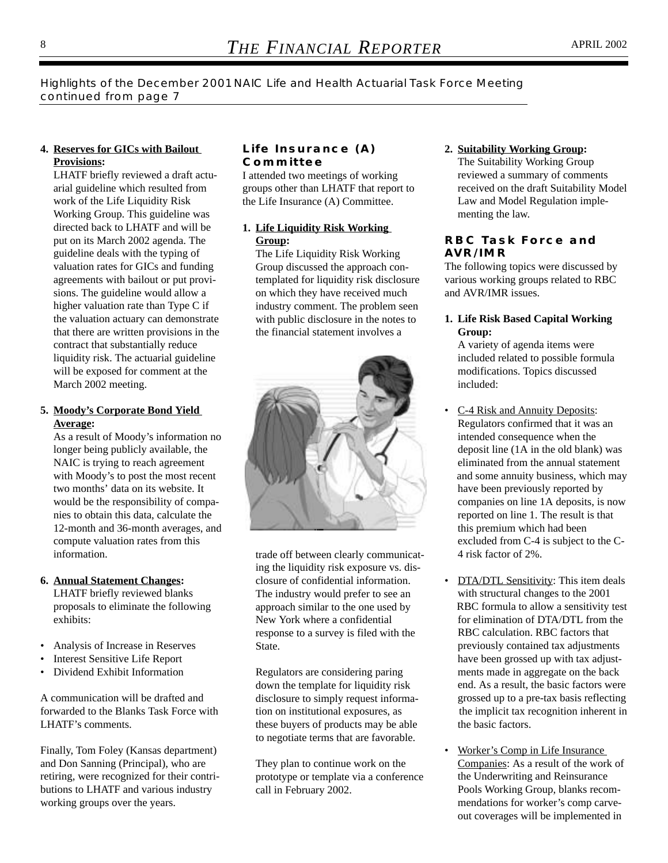*Highlights of the December 2001 NAIC Life and Health Actuarial Task Force Meeting continued from page 7*

#### **4. Reserves for GICs with Bailout Provisions:**

LHATF briefly reviewed a draft actuarial guideline which resulted from work of the Life Liquidity Risk Working Group. This guideline was directed back to LHATF and will be put on its March 2002 agenda. The guideline deals with the typing of valuation rates for GICs and funding agreements with bailout or put provisions. The guideline would allow a higher valuation rate than Type C if the valuation actuary can demonstrate that there are written provisions in the contract that substantially reduce liquidity risk. The actuarial guideline will be exposed for comment at the March 2002 meeting.

#### **5. Moody's Corporate Bond Yield Average:**

As a result of Moody's information no longer being publicly available, the NAIC is trying to reach agreement with Moody's to post the most recent two months' data on its website. It would be the responsibility of companies to obtain this data, calculate the 12-month and 36-month averages, and compute valuation rates from this information.

#### **6. Annual Statement Changes:**

LHATF briefly reviewed blanks proposals to eliminate the following exhibits:

- Analysis of Increase in Reserves
- Interest Sensitive Life Report
- Dividend Exhibit Information

A communication will be drafted and forwarded to the Blanks Task Force with LHATF's comments.

Finally, Tom Foley (Kansas department) and Don Sanning (Principal), who are retiring, were recognized for their contributions to LHATF and various industry working groups over the years.

#### **Life Insurance (A) Committee**

I attended two meetings of working groups other than LHATF that report to the Life Insurance (A) Committee.

#### **1. Life Liquidity Risk Working Group:**

The Life Liquidity Risk Working Group discussed the approach contemplated for liquidity risk disclosure on which they have received much industry comment. The problem seen with public disclosure in the notes to the financial statement involves a



trade off between clearly communicating the liquidity risk exposure vs. disclosure of confidential information. The industry would prefer to see an approach similar to the one used by New York where a confidential response to a survey is filed with the State.

Regulators are considering paring down the template for liquidity risk disclosure to simply request information on institutional exposures, as these buyers of products may be able to negotiate terms that are favorable.

They plan to continue work on the prototype or template via a conference call in February 2002.

**2. Suitability Working Group:** The Suitability Working Group reviewed a summary of comments received on the draft Suitability Model Law and Model Regulation imple-

menting the law.

#### **RBC Task Force and AVR/IMR**

The following topics were discussed by various working groups related to RBC and AVR/IMR issues.

#### **1. Life Risk Based Capital Working Group:**

A variety of agenda items were included related to possible formula modifications. Topics discussed included:

- C-4 Risk and Annuity Deposits: Regulators confirmed that it was an intended consequence when the deposit line (1A in the old blank) was eliminated from the annual statement and some annuity business, which may have been previously reported by companies on line 1A deposits, is now reported on line 1. The result is that this premium which had been excluded from C-4 is subject to the C-4 risk factor of 2%.
- DTA/DTL Sensitivity: This item deals with structural changes to the 2001 RBC formula to allow a sensitivity test for elimination of DTA/DTL from the RBC calculation. RBC factors that previously contained tax adjustments have been grossed up with tax adjustments made in aggregate on the back end. As a result, the basic factors were grossed up to a pre-tax basis reflecting the implicit tax recognition inherent in the basic factors.
- Worker's Comp in Life Insurance Companies: As a result of the work of the Underwriting and Reinsurance Pools Working Group, blanks recommendations for worker's comp carveout coverages will be implemented in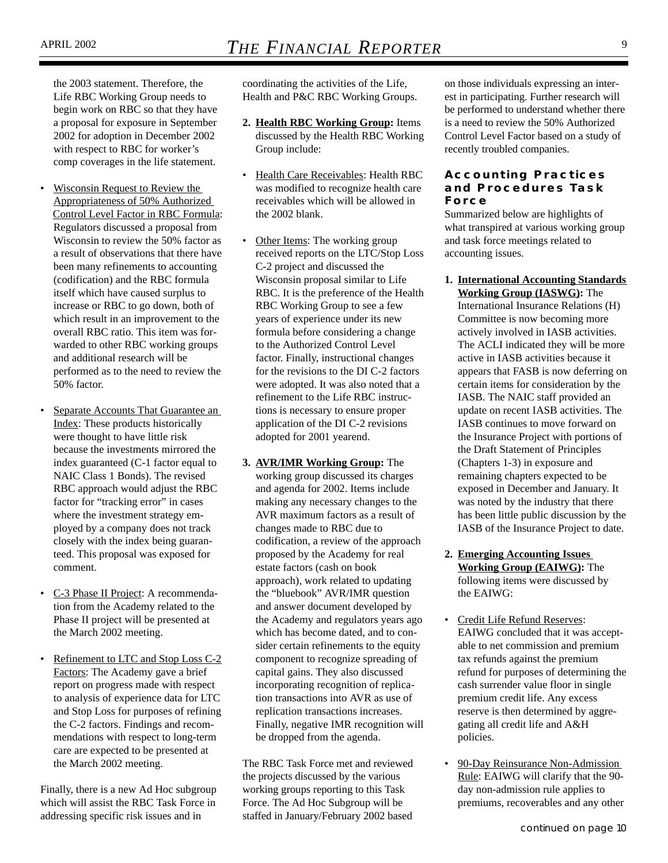the 2003 statement. Therefore, the Life RBC Working Group needs to begin work on RBC so that they have a proposal for exposure in September 2002 for adoption in December 2002 with respect to RBC for worker's comp coverages in the life statement.

- Wisconsin Request to Review the Appropriateness of 50% Authorized Control Level Factor in RBC Formula: Regulators discussed a proposal from Wisconsin to review the 50% factor as a result of observations that there have been many refinements to accounting (codification) and the RBC formula itself which have caused surplus to increase or RBC to go down, both of which result in an improvement to the overall RBC ratio. This item was forwarded to other RBC working groups and additional research will be performed as to the need to review the 50% factor.
- Separate Accounts That Guarantee an Index: These products historically were thought to have little risk because the investments mirrored the index guaranteed (C-1 factor equal to NAIC Class 1 Bonds). The revised RBC approach would adjust the RBC factor for "tracking error" in cases where the investment strategy employed by a company does not track closely with the index being guaranteed. This proposal was exposed for comment.
- C-3 Phase II Project: A recommendation from the Academy related to the Phase II project will be presented at the March 2002 meeting.
- Refinement to LTC and Stop Loss C-2 Factors: The Academy gave a brief report on progress made with respect to analysis of experience data for LTC and Stop Loss for purposes of refining the C-2 factors. Findings and recommendations with respect to long-term care are expected to be presented at the March 2002 meeting.

Finally, there is a new Ad Hoc subgroup which will assist the RBC Task Force in addressing specific risk issues and in

coordinating the activities of the Life, Health and P&C RBC Working Groups.

- **2. Health RBC Working Group:** Items discussed by the Health RBC Working Group include:
- Health Care Receivables: Health RBC was modified to recognize health care receivables which will be allowed in the 2002 blank.
- Other Items: The working group received reports on the LTC/Stop Loss C-2 project and discussed the Wisconsin proposal similar to Life RBC. It is the preference of the Health RBC Working Group to see a few years of experience under its new formula before considering a change to the Authorized Control Level factor. Finally, instructional changes for the revisions to the DI C-2 factors were adopted. It was also noted that a refinement to the Life RBC instructions is necessary to ensure proper application of the DI C-2 revisions adopted for 2001 yearend.
- **3. AVR/IMR Working Group:** The working group discussed its charges and agenda for 2002. Items include making any necessary changes to the AVR maximum factors as a result of changes made to RBC due to codification, a review of the approach proposed by the Academy for real estate factors (cash on book approach), work related to updating the "bluebook" AVR/IMR question and answer document developed by the Academy and regulators years ago which has become dated, and to consider certain refinements to the equity component to recognize spreading of capital gains. They also discussed incorporating recognition of replication transactions into AVR as use of replication transactions increases. Finally, negative IMR recognition will be dropped from the agenda.

The RBC Task Force met and reviewed the projects discussed by the various working groups reporting to this Task Force. The Ad Hoc Subgroup will be staffed in January/February 2002 based

on those individuals expressing an interest in participating. Further research will be performed to understand whether there is a need to review the 50% Authorized Control Level Factor based on a study of recently troubled companies.

#### **Accounting Practices and Procedures Task Force**

Summarized below are highlights of what transpired at various working group and task force meetings related to accounting issues.

**1. International Accounting Standards Working Group (IASWG):** The

International Insurance Relations (H) Committee is now becoming more actively involved in IASB activities. The ACLI indicated they will be more active in IASB activities because it appears that FASB is now deferring on certain items for consideration by the IASB. The NAIC staff provided an update on recent IASB activities. The IASB continues to move forward on the Insurance Project with portions of the Draft Statement of Principles (Chapters 1-3) in exposure and remaining chapters expected to be exposed in December and January. It was noted by the industry that there has been little public discussion by the IASB of the Insurance Project to date.

- **2. Emerging Accounting Issues Working Group (EAIWG):** The following items were discussed by the EAIWG:
- Credit Life Refund Reserves: EAIWG concluded that it was acceptable to net commission and premium tax refunds against the premium refund for purposes of determining the cash surrender value floor in single premium credit life. Any excess reserve is then determined by aggregating all credit life and A&H policies.
- 90-Day Reinsurance Non-Admission Rule: EAIWG will clarify that the 90day non-admission rule applies to premiums, recoverables and any other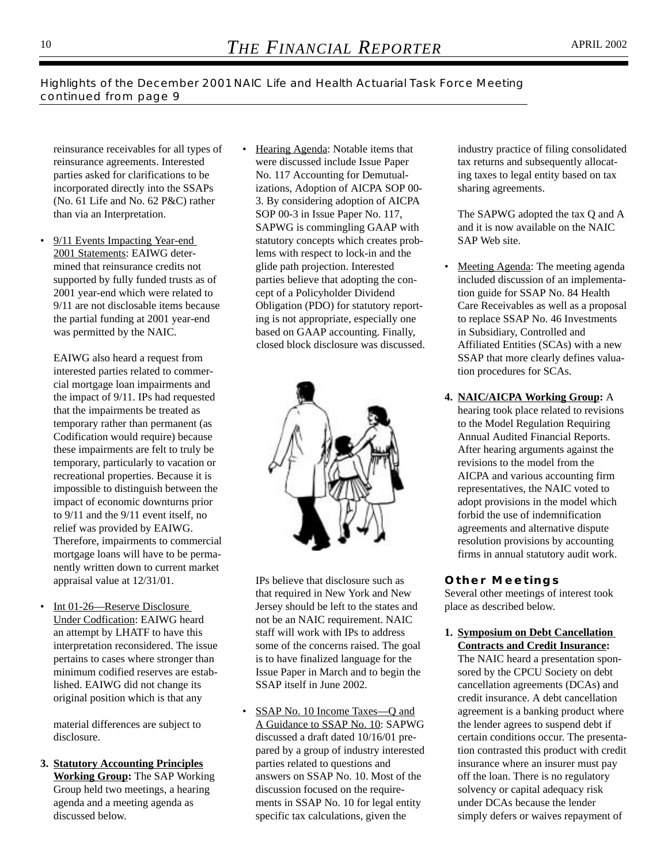*Highlights of the December 2001 NAIC Life and Health Actuarial Task Force Meeting continued from page 9*

reinsurance receivables for all types of reinsurance agreements. Interested parties asked for clarifications to be incorporated directly into the SSAPs (No. 61 Life and No. 62 P&C) rather than via an Interpretation.

• 9/11 Events Impacting Year-end 2001 Statements: EAIWG determined that reinsurance credits not supported by fully funded trusts as of 2001 year-end which were related to 9/11 are not disclosable items because the partial funding at 2001 year-end was permitted by the NAIC.

EAIWG also heard a request from interested parties related to commercial mortgage loan impairments and the impact of 9/11. IPs had requested that the impairments be treated as temporary rather than permanent (as Codification would require) because these impairments are felt to truly be temporary, particularly to vacation or recreational properties. Because it is impossible to distinguish between the impact of economic downturns prior to 9/11 and the 9/11 event itself, no relief was provided by EAIWG. Therefore, impairments to commercial mortgage loans will have to be permanently written down to current market appraisal value at 12/31/01.

• Int 01-26—Reserve Disclosure Under Codfication: EAIWG heard an attempt by LHATF to have this interpretation reconsidered. The issue pertains to cases where stronger than minimum codified reserves are established. EAIWG did not change its original position which is that any

material differences are subject to disclosure.

**3. Statutory Accounting Principles Working Group:** The SAP Working Group held two meetings, a hearing agenda and a meeting agenda as discussed below.

Hearing Agenda: Notable items that were discussed include Issue Paper No. 117 Accounting for Demutualizations, Adoption of AICPA SOP 00- 3. By considering adoption of AICPA SOP 00-3 in Issue Paper No. 117, SAPWG is commingling GAAP with statutory concepts which creates problems with respect to lock-in and the glide path projection. Interested parties believe that adopting the concept of a Policyholder Dividend Obligation (PDO) for statutory reporting is not appropriate, especially one based on GAAP accounting. Finally, closed block disclosure was discussed.



IPs believe that disclosure such as that required in New York and New Jersey should be left to the states and not be an NAIC requirement. NAIC staff will work with IPs to address some of the concerns raised. The goal is to have finalized language for the Issue Paper in March and to begin the SSAP itself in June 2002.

SSAP No. 10 Income Taxes—Q and A Guidance to SSAP No. 10: SAPWG discussed a draft dated 10/16/01 prepared by a group of industry interested parties related to questions and answers on SSAP No. 10. Most of the discussion focused on the requirements in SSAP No. 10 for legal entity specific tax calculations, given the

industry practice of filing consolidated tax returns and subsequently allocating taxes to legal entity based on tax sharing agreements.

The SAPWG adopted the tax Q and A and it is now available on the NAIC SAP Web site.

- Meeting Agenda: The meeting agenda included discussion of an implementation guide for SSAP No. 84 Health Care Receivables as well as a proposal to replace SSAP No. 46 Investments in Subsidiary, Controlled and Affiliated Entities (SCAs) with a new SSAP that more clearly defines valuation procedures for SCAs.
- **4. NAIC/AICPA Working Group:** A hearing took place related to revisions to the Model Regulation Requiring Annual Audited Financial Reports. After hearing arguments against the revisions to the model from the AICPA and various accounting firm representatives, the NAIC voted to adopt provisions in the model which forbid the use of indemnification agreements and alternative dispute resolution provisions by accounting firms in annual statutory audit work.

#### **Other Meetings**

Several other meetings of interest took place as described below.

**1. Symposium on Debt Cancellation Contracts and Credit Insurance:**

The NAIC heard a presentation sponsored by the CPCU Society on debt cancellation agreements (DCAs) and credit insurance. A debt cancellation agreement is a banking product where the lender agrees to suspend debt if certain conditions occur. The presentation contrasted this product with credit insurance where an insurer must pay off the loan. There is no regulatory solvency or capital adequacy risk under DCAs because the lender simply defers or waives repayment of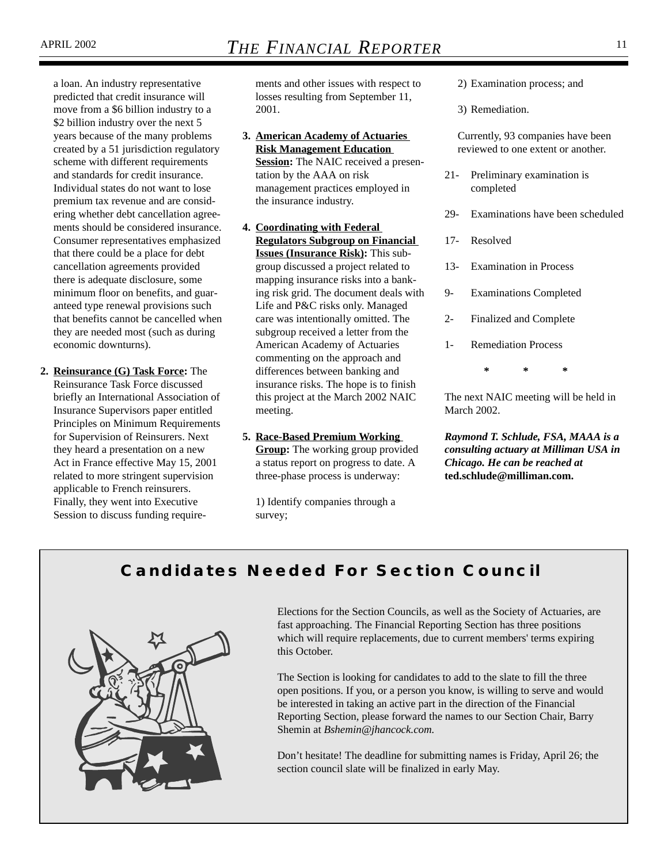a loan. An industry representative predicted that credit insurance will move from a \$6 billion industry to a \$2 billion industry over the next 5 years because of the many problems created by a 51 jurisdiction regulatory scheme with different requirements and standards for credit insurance. Individual states do not want to lose premium tax revenue and are considering whether debt cancellation agreements should be considered insurance. Consumer representatives emphasized that there could be a place for debt cancellation agreements provided there is adequate disclosure, some minimum floor on benefits, and guaranteed type renewal provisions such that benefits cannot be cancelled when they are needed most (such as during economic downturns).

**2. Reinsurance (G) Task Force:** The Reinsurance Task Force discussed briefly an International Association of Insurance Supervisors paper entitled Principles on Minimum Requirements for Supervision of Reinsurers. Next they heard a presentation on a new Act in France effective May 15, 2001 related to more stringent supervision applicable to French reinsurers. Finally, they went into Executive Session to discuss funding requirements and other issues with respect to losses resulting from September 11, 2001.

**3. American Academy of Actuaries Risk Management Education Session:** The NAIC received a presen-

tation by the AAA on risk management practices employed in the insurance industry.

- **4. Coordinating with Federal Regulators Subgroup on Financial Issues (Insurance Risk):** This subgroup discussed a project related to mapping insurance risks into a banking risk grid. The document deals with Life and P&C risks only. Managed care was intentionally omitted. The subgroup received a letter from the American Academy of Actuaries commenting on the approach and differences between banking and insurance risks. The hope is to finish this project at the March 2002 NAIC meeting.
- **5. Race-Based Premium Working Group:** The working group provided a status report on progress to date. A three-phase process is underway:

1) Identify companies through a survey;

2) Examination process; and

3) Remediation.

Currently, 93 companies have been reviewed to one extent or another.

- 21- Preliminary examination is completed
- 29- Examinations have been scheduled
- 17- Resolved
- 13- Examination in Process
- 9- Examinations Completed
- 2- Finalized and Complete
- 1- Remediation Process

**\*\*\***

The next NAIC meeting will be held in March 2002.

*Raymond T. Schlude, FSA, MAAA is a consulting actuary at Milliman USA in Chicago. He can be reached at* **ted.schlude@milliman.com.**

### **Candidates Needed For Section Council**



Elections for the Section Councils, as well as the Society of Actuaries, are fast approaching. The Financial Reporting Section has three positions which will require replacements, due to current members' terms expiring this October.

The Section is looking for candidates to add to the slate to fill the three open positions. If you, or a person you know, is willing to serve and would be interested in taking an active part in the direction of the Financial Reporting Section, please forward the names to our Section Chair, Barry Shemin at *Bshemin@jhancock.com.*

Don't hesitate! The deadline for submitting names is Friday, April 26; the section council slate will be finalized in early May.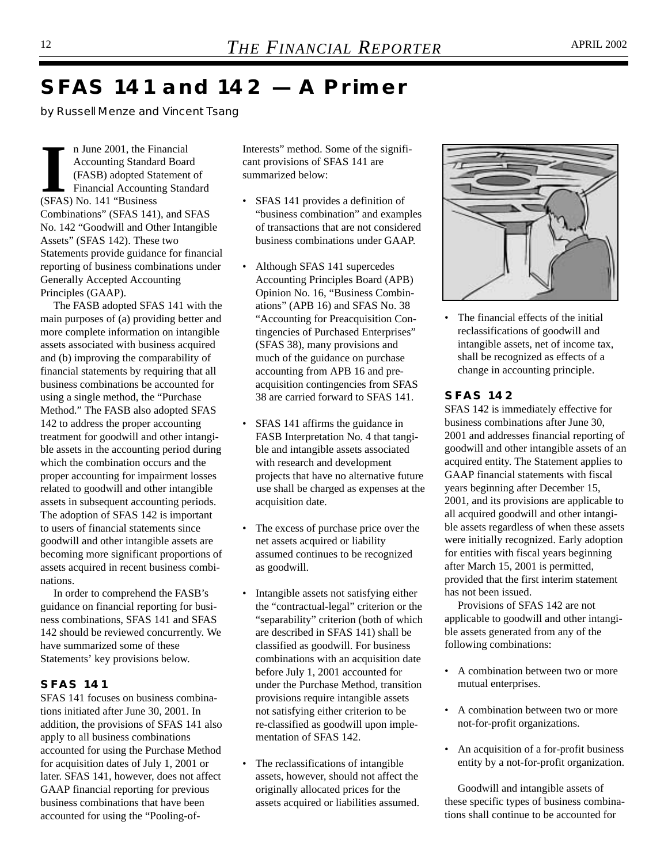## **SFAS 141 and 142 — A Primer**

*by Russell Menze and Vincent Tsang*

II June 2001, the Fi<br>
Accounting Standa<br>
(FASB) adopted St.<br>
Financial Accounting Standard St.<br>
Standard St.<br>
Standard St.<br>
Standard St.<br>
Standard St.<br>
Standard St.<br>
Standard St.<br>
Standard St.<br>
Standard St.<br>
Standard St.<br> n June 2001, the Financial Accounting Standard Board (FASB) adopted Statement of Financial Accounting Standard Combinations" (SFAS 141), and SFAS No. 142 "Goodwill and Other Intangible Assets" (SFAS 142). These two Statements provide guidance for financial reporting of business combinations under Generally Accepted Accounting Principles (GAAP).

The FASB adopted SFAS 141 with the main purposes of (a) providing better and more complete information on intangible assets associated with business acquired and (b) improving the comparability of financial statements by requiring that all business combinations be accounted for using a single method, the "Purchase Method." The FASB also adopted SFAS 142 to address the proper accounting treatment for goodwill and other intangible assets in the accounting period during which the combination occurs and the proper accounting for impairment losses related to goodwill and other intangible assets in subsequent accounting periods. The adoption of SFAS 142 is important to users of financial statements since goodwill and other intangible assets are becoming more significant proportions of assets acquired in recent business combinations.

In order to comprehend the FASB's guidance on financial reporting for business combinations, SFAS 141 and SFAS 142 should be reviewed concurrently. We have summarized some of these Statements' key provisions below.

#### **SFAS 141**

SFAS 141 focuses on business combinations initiated after June 30, 2001. In addition, the provisions of SFAS 141 also apply to all business combinations accounted for using the Purchase Method for acquisition dates of July 1, 2001 or later. SFAS 141, however, does not affect GAAP financial reporting for previous business combinations that have been accounted for using the "Pooling-ofInterests" method. Some of the significant provisions of SFAS 141 are summarized below:

- SFAS 141 provides a definition of "business combination" and examples of transactions that are not considered business combinations under GAAP.
- Although SFAS 141 supercedes Accounting Principles Board (APB) Opinion No. 16, "Business Combinations" (APB 16) and SFAS No. 38 "Accounting for Preacquisition Contingencies of Purchased Enterprises" (SFAS 38), many provisions and much of the guidance on purchase accounting from APB 16 and preacquisition contingencies from SFAS 38 are carried forward to SFAS 141.
- SFAS 141 affirms the guidance in FASB Interpretation No. 4 that tangible and intangible assets associated with research and development projects that have no alternative future use shall be charged as expenses at the acquisition date.
- The excess of purchase price over the net assets acquired or liability assumed continues to be recognized as goodwill.
- Intangible assets not satisfying either the "contractual-legal" criterion or the "separability" criterion (both of which are described in SFAS 141) shall be classified as goodwill. For business combinations with an acquisition date before July 1, 2001 accounted for under the Purchase Method, transition provisions require intangible assets not satisfying either criterion to be re-classified as goodwill upon implementation of SFAS 142.
- The reclassifications of intangible assets, however, should not affect the originally allocated prices for the assets acquired or liabilities assumed.



• The financial effects of the initial reclassifications of goodwill and intangible assets, net of income tax, shall be recognized as effects of a change in accounting principle.

#### **SFAS 142**

SFAS 142 is immediately effective for business combinations after June 30, 2001 and addresses financial reporting of goodwill and other intangible assets of an acquired entity. The Statement applies to GAAP financial statements with fiscal years beginning after December 15, 2001, and its provisions are applicable to all acquired goodwill and other intangible assets regardless of when these assets were initially recognized. Early adoption for entities with fiscal years beginning after March 15, 2001 is permitted, provided that the first interim statement has not been issued.

Provisions of SFAS 142 are not applicable to goodwill and other intangible assets generated from any of the following combinations:

- A combination between two or more mutual enterprises.
- A combination between two or more not-for-profit organizations.
- An acquisition of a for-profit business entity by a not-for-profit organization.

Goodwill and intangible assets of these specific types of business combinations shall continue to be accounted for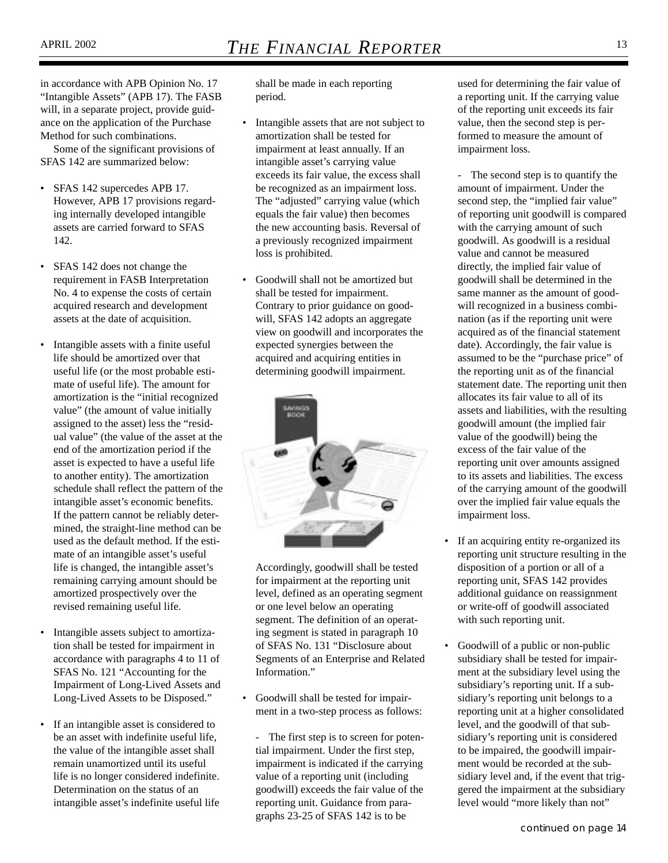in accordance with APB Opinion No. 17 "Intangible Assets" (APB 17). The FASB will, in a separate project, provide guidance on the application of the Purchase Method for such combinations.

Some of the significant provisions of SFAS 142 are summarized below:

- SFAS 142 supercedes APB 17. However, APB 17 provisions regarding internally developed intangible assets are carried forward to SFAS 142.
- SFAS 142 does not change the requirement in FASB Interpretation No. 4 to expense the costs of certain acquired research and development assets at the date of acquisition.
- Intangible assets with a finite useful life should be amortized over that useful life (or the most probable estimate of useful life). The amount for amortization is the "initial recognized value" (the amount of value initially assigned to the asset) less the "residual value" (the value of the asset at the end of the amortization period if the asset is expected to have a useful life to another entity). The amortization schedule shall reflect the pattern of the intangible asset's economic benefits. If the pattern cannot be reliably determined, the straight-line method can be used as the default method. If the estimate of an intangible asset's useful life is changed, the intangible asset's remaining carrying amount should be amortized prospectively over the revised remaining useful life.
- Intangible assets subject to amortization shall be tested for impairment in accordance with paragraphs 4 to 11 of SFAS No. 121 "Accounting for the Impairment of Long-Lived Assets and Long-Lived Assets to be Disposed."
- If an intangible asset is considered to be an asset with indefinite useful life, the value of the intangible asset shall remain unamortized until its useful life is no longer considered indefinite. Determination on the status of an intangible asset's indefinite useful life

shall be made in each reporting period.

- Intangible assets that are not subject to amortization shall be tested for impairment at least annually. If an intangible asset's carrying value exceeds its fair value, the excess shall be recognized as an impairment loss. The "adjusted" carrying value (which equals the fair value) then becomes the new accounting basis. Reversal of a previously recognized impairment loss is prohibited.
- Goodwill shall not be amortized but shall be tested for impairment. Contrary to prior guidance on goodwill, SFAS 142 adopts an aggregate view on goodwill and incorporates the expected synergies between the acquired and acquiring entities in determining goodwill impairment.



Accordingly, goodwill shall be tested for impairment at the reporting unit level, defined as an operating segment or one level below an operating segment. The definition of an operating segment is stated in paragraph 10 of SFAS No. 131 "Disclosure about Segments of an Enterprise and Related Information."

- Goodwill shall be tested for impairment in a two-step process as follows:
	- The first step is to screen for potential impairment. Under the first step, impairment is indicated if the carrying value of a reporting unit (including goodwill) exceeds the fair value of the reporting unit. Guidance from paragraphs 23-25 of SFAS 142 is to be

used for determining the fair value of a reporting unit. If the carrying value of the reporting unit exceeds its fair value, then the second step is performed to measure the amount of impairment loss.

- The second step is to quantify the amount of impairment. Under the second step, the "implied fair value" of reporting unit goodwill is compared with the carrying amount of such goodwill. As goodwill is a residual value and cannot be measured directly, the implied fair value of goodwill shall be determined in the same manner as the amount of goodwill recognized in a business combination (as if the reporting unit were acquired as of the financial statement date). Accordingly, the fair value is assumed to be the "purchase price" of the reporting unit as of the financial statement date. The reporting unit then allocates its fair value to all of its assets and liabilities, with the resulting goodwill amount (the implied fair value of the goodwill) being the excess of the fair value of the reporting unit over amounts assigned to its assets and liabilities. The excess of the carrying amount of the goodwill over the implied fair value equals the impairment loss.

- If an acquiring entity re-organized its reporting unit structure resulting in the disposition of a portion or all of a reporting unit, SFAS 142 provides additional guidance on reassignment or write-off of goodwill associated with such reporting unit.
- Goodwill of a public or non-public subsidiary shall be tested for impairment at the subsidiary level using the subsidiary's reporting unit. If a subsidiary's reporting unit belongs to a reporting unit at a higher consolidated level, and the goodwill of that subsidiary's reporting unit is considered to be impaired, the goodwill impairment would be recorded at the subsidiary level and, if the event that triggered the impairment at the subsidiary level would "more likely than not"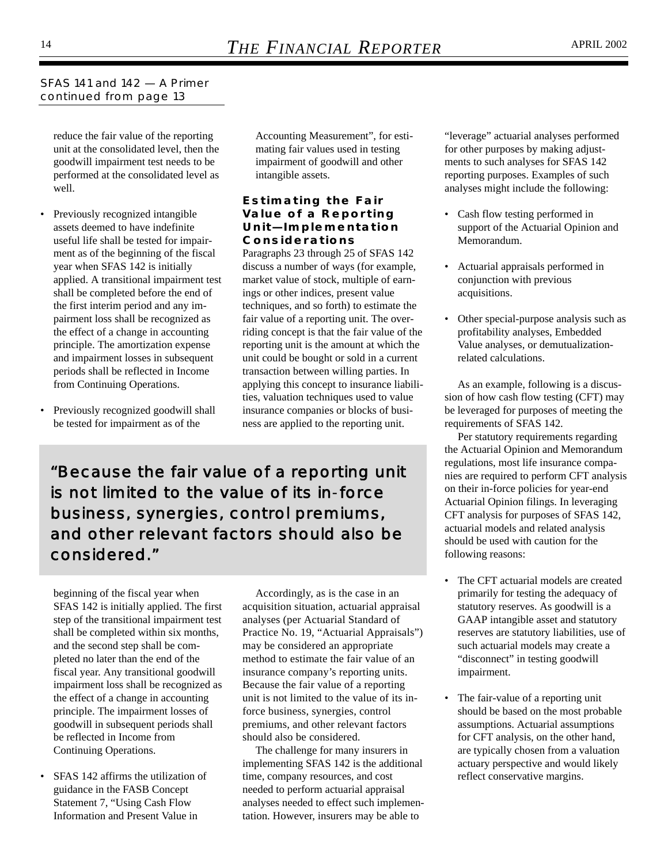*SFAS 141 and 142 — A Primer continued from page 13*

reduce the fair value of the reporting unit at the consolidated level, then the goodwill impairment test needs to be performed at the consolidated level as well.

- Previously recognized intangible assets deemed to have indefinite useful life shall be tested for impairment as of the beginning of the fiscal year when SFAS 142 is initially applied. A transitional impairment test shall be completed before the end of the first interim period and any impairment loss shall be recognized as the effect of a change in accounting principle. The amortization expense and impairment losses in subsequent periods shall be reflected in Income from Continuing Operations.
- Previously recognized goodwill shall be tested for impairment as of the

Accounting Measurement", for estimating fair values used in testing impairment of goodwill and other intangible assets.

#### **Estimating the Fair Value of a Reporting Unit—Implementation Considerations**

Paragraphs 23 through 25 of SFAS 142 discuss a number of ways (for example, market value of stock, multiple of earnings or other indices, present value techniques, and so forth) to estimate the fair value of a reporting unit. The overriding concept is that the fair value of the reporting unit is the amount at which the unit could be bought or sold in a current transaction between willing parties. In applying this concept to insurance liabilities, valuation techniques used to value insurance companies or blocks of business are applied to the reporting unit.

*"Because the fair value of a reporting unit is not limited to the value of its in-force business, synergies, control premiums, and other relevant factors should also be considered."*

beginning of the fiscal year when SFAS 142 is initially applied. The first step of the transitional impairment test shall be completed within six months, and the second step shall be completed no later than the end of the fiscal year. Any transitional goodwill impairment loss shall be recognized as the effect of a change in accounting principle. The impairment losses of goodwill in subsequent periods shall be reflected in Income from Continuing Operations.

• SFAS 142 affirms the utilization of guidance in the FASB Concept Statement 7, "Using Cash Flow Information and Present Value in

Accordingly, as is the case in an acquisition situation, actuarial appraisal analyses (per Actuarial Standard of Practice No. 19, "Actuarial Appraisals") may be considered an appropriate method to estimate the fair value of an insurance company's reporting units. Because the fair value of a reporting unit is not limited to the value of its inforce business, synergies, control premiums, and other relevant factors should also be considered.

The challenge for many insurers in implementing SFAS 142 is the additional time, company resources, and cost needed to perform actuarial appraisal analyses needed to effect such implementation. However, insurers may be able to

"leverage" actuarial analyses performed for other purposes by making adjustments to such analyses for SFAS 142 reporting purposes. Examples of such analyses might include the following:

- Cash flow testing performed in support of the Actuarial Opinion and Memorandum.
- Actuarial appraisals performed in conjunction with previous acquisitions.
- Other special-purpose analysis such as profitability analyses, Embedded Value analyses, or demutualizationrelated calculations.

As an example, following is a discussion of how cash flow testing (CFT) may be leveraged for purposes of meeting the requirements of SFAS 142.

Per statutory requirements regarding the Actuarial Opinion and Memorandum regulations, most life insurance companies are required to perform CFT analysis on their in-force policies for year-end Actuarial Opinion filings. In leveraging CFT analysis for purposes of SFAS 142, actuarial models and related analysis should be used with caution for the following reasons:

- The CFT actuarial models are created primarily for testing the adequacy of statutory reserves. As goodwill is a GAAP intangible asset and statutory reserves are statutory liabilities, use of such actuarial models may create a "disconnect" in testing goodwill impairment.
- The fair-value of a reporting unit should be based on the most probable assumptions. Actuarial assumptions for CFT analysis, on the other hand, are typically chosen from a valuation actuary perspective and would likely reflect conservative margins.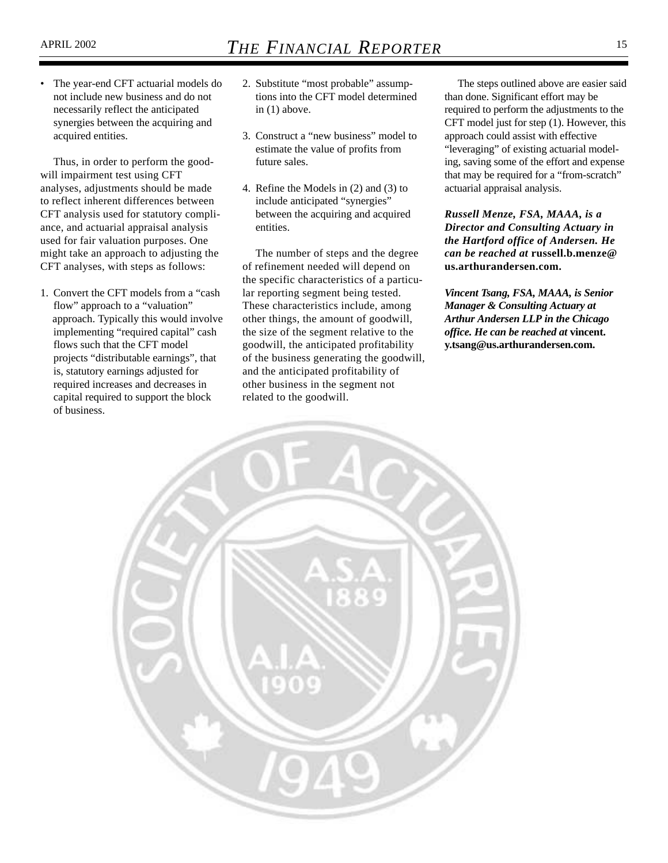The year-end CFT actuarial models do not include new business and do not necessarily reflect the anticipated synergies between the acquiring and acquired entities.

Thus, in order to perform the goodwill impairment test using CFT analyses, adjustments should be made to reflect inherent differences between CFT analysis used for statutory compliance, and actuarial appraisal analysis used for fair valuation purposes. One might take an approach to adjusting the CFT analyses, with steps as follows:

1. Convert the CFT models from a "cash flow" approach to a "valuation" approach. Typically this would involve implementing "required capital" cash flows such that the CFT model projects "distributable earnings", that is, statutory earnings adjusted for required increases and decreases in capital required to support the block of business.

- 2. Substitute "most probable" assumptions into the CFT model determined in (1) above.
- 3. Construct a "new business" model to estimate the value of profits from future sales.
- 4. Refine the Models in (2) and (3) to include anticipated "synergies" between the acquiring and acquired entities.

The number of steps and the degree of refinement needed will depend on the specific characteristics of a particular reporting segment being tested. These characteristics include, among other things, the amount of goodwill, the size of the segment relative to the goodwill, the anticipated profitability of the business generating the goodwill, and the anticipated profitability of other business in the segment not related to the goodwill.

The steps outlined above are easier said than done. Significant effort may be required to perform the adjustments to the CFT model just for step (1). However, this approach could assist with effective "leveraging" of existing actuarial modeling, saving some of the effort and expense that may be required for a "from-scratch" actuarial appraisal analysis.

*Russell Menze, FSA, MAAA, is a Director and Consulting Actuary in the Hartford office of Andersen. He can be reached at* **russell.b.menze@ us.arthurandersen.com.**

*Vincent Tsang, FSA, MAAA, is Senior Manager & Consulting Actuary at Arthur Andersen LLP in the Chicago office. He can be reached at* **vincent. y.tsang@us.arthurandersen.com.**

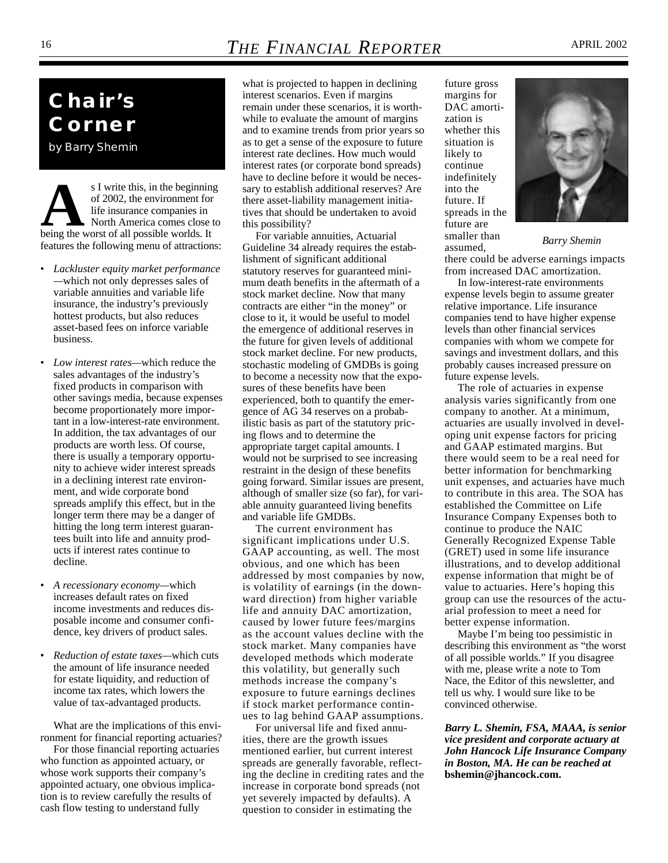### 16 **THE FINANCIAL REPORTER** APRIL 2002

## **Chair's Corner**

*by Barry Shemin*

**As I** write this, in the beginning<br>of 2002, the environment for<br>life insurance companies in<br>North America comes close to<br>being the worst of all possible worlds. It of 2002, the environment for life insurance companies in North America comes close to features the following menu of attractions:

- *Lackluster equity market performance —*which not only depresses sales of variable annuities and variable life insurance, the industry's previously hottest products, but also reduces asset-based fees on inforce variable business.
- *Low interest rates—*which reduce the sales advantages of the industry's fixed products in comparison with other savings media, because expenses become proportionately more important in a low-interest-rate environment. In addition, the tax advantages of our products are worth less. Of course, there is usually a temporary opportunity to achieve wider interest spreads in a declining interest rate environment, and wide corporate bond spreads amplify this effect, but in the longer term there may be a danger of hitting the long term interest guarantees built into life and annuity products if interest rates continue to decline.
- *A recessionary economy—*which increases default rates on fixed income investments and reduces disposable income and consumer confidence, key drivers of product sales.
- *Reduction of estate taxes—*which cuts the amount of life insurance needed for estate liquidity, and reduction of income tax rates, which lowers the value of tax-advantaged products.

What are the implications of this environment for financial reporting actuaries? For those financial reporting actuaries who function as appointed actuary, or whose work supports their company's appointed actuary, one obvious implication is to review carefully the results of cash flow testing to understand fully

what is projected to happen in declining interest scenarios. Even if margins remain under these scenarios, it is worthwhile to evaluate the amount of margins and to examine trends from prior years so as to get a sense of the exposure to future interest rate declines. How much would interest rates (or corporate bond spreads) have to decline before it would be necessary to establish additional reserves? Are there asset-liability management initiatives that should be undertaken to avoid this possibility?

For variable annuities, Actuarial Guideline 34 already requires the establishment of significant additional statutory reserves for guaranteed minimum death benefits in the aftermath of a stock market decline. Now that many contracts are either "in the money" or close to it, it would be useful to model the emergence of additional reserves in the future for given levels of additional stock market decline. For new products, stochastic modeling of GMDBs is going to become a necessity now that the exposures of these benefits have been experienced, both to quantify the emergence of AG 34 reserves on a probabilistic basis as part of the statutory pricing flows and to determine the appropriate target capital amounts. I would not be surprised to see increasing restraint in the design of these benefits going forward. Similar issues are present, although of smaller size (so far), for variable annuity guaranteed living benefits and variable life GMDBs.

The current environment has significant implications under U.S. GAAP accounting, as well. The most obvious, and one which has been addressed by most companies by now, is volatility of earnings (in the downward direction) from higher variable life and annuity DAC amortization, caused by lower future fees/margins as the account values decline with the stock market. Many companies have developed methods which moderate this volatility, but generally such methods increase the company's exposure to future earnings declines if stock market performance continues to lag behind GAAP assumptions.

For universal life and fixed annuities, there are the growth issues mentioned earlier, but current interest spreads are generally favorable, reflecting the decline in crediting rates and the increase in corporate bond spreads (not yet severely impacted by defaults). A question to consider in estimating the

future gross margins for DAC amortization is whether this situation is likely to continue indefinitely into the future. If spreads in the future are smaller than assumed,



*Barry Shemin*

there could be adverse earnings impacts from increased DAC amortization.

In low-interest-rate environments expense levels begin to assume greater relative importance. Life insurance companies tend to have higher expense levels than other financial services companies with whom we compete for savings and investment dollars, and this probably causes increased pressure on future expense levels.

The role of actuaries in expense analysis varies significantly from one company to another. At a minimum, actuaries are usually involved in developing unit expense factors for pricing and GAAP estimated margins. But there would seem to be a real need for better information for benchmarking unit expenses, and actuaries have much to contribute in this area. The SOA has established the Committee on Life Insurance Company Expenses both to continue to produce the NAIC Generally Recognized Expense Table (GRET) used in some life insurance illustrations, and to develop additional expense information that might be of value to actuaries. Here's hoping this group can use the resources of the actuarial profession to meet a need for better expense information.

Maybe I'm being too pessimistic in describing this environment as "the worst of all possible worlds." If you disagree with me, please write a note to Tom Nace, the Editor of this newsletter, and tell us why. I would sure like to be convinced otherwise.

*Barry L. Shemin, FSA, MAAA, is senior vice president and corporate actuary at John Hancock Life Insurance Company in Boston, MA. He can be reached at* **bshemin@jhancock.com.**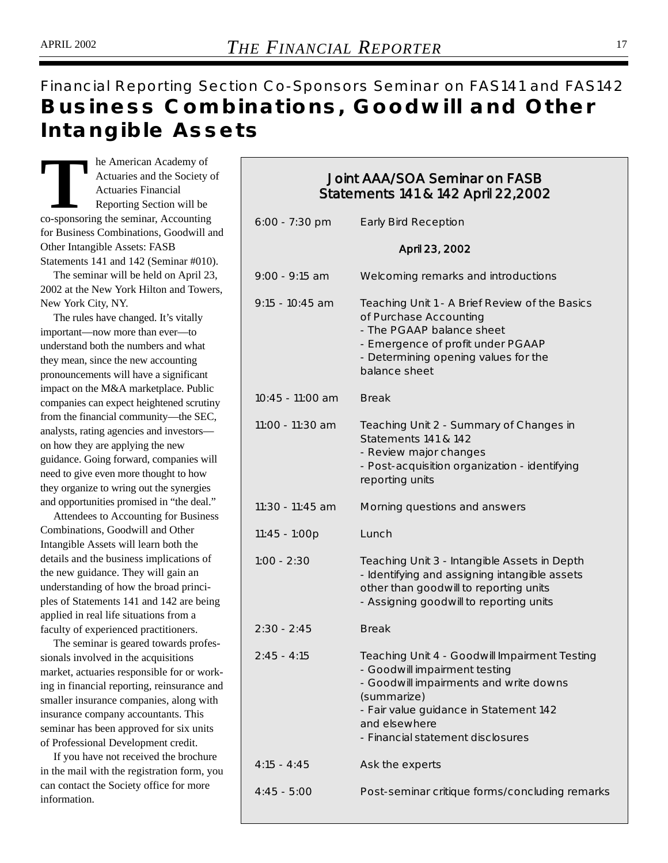### Financial Reporting Section Co-Sponsors Seminar on FAS141 and FAS142 **Business Combinations, Goodwill and Other Intangible Assets**

**THE American Academy of**<br>
Actuaries and the Society<br>
Actuaries Financial<br>
Reporting Section will be<br>
co-sponsoring the seminar, Accounting Actuaries and the Society of Actuaries Financial Reporting Section will be for Business Combinations, Goodwill and Other Intangible Assets: FASB Statements 141 and 142 (Seminar #010).

The seminar will be held on April 23, 2002 at the New York Hilton and Towers, New York City, NY.

The rules have changed. It's vitally important—now more than ever—to understand both the numbers and what they mean, since the new accounting pronouncements will have a significant impact on the M&A marketplace. Public companies can expect heightened scrutiny from the financial community—the SEC, analysts, rating agencies and investors on how they are applying the new guidance. Going forward, companies will need to give even more thought to how they organize to wring out the synergies and opportunities promised in "the deal."

Attendees to Accounting for Business Combinations, Goodwill and Other Intangible Assets will learn both the details and the business implications of the new guidance. They will gain an understanding of how the broad principles of Statements 141 and 142 are being applied in real life situations from a faculty of experienced practitioners.

The seminar is geared towards professionals involved in the acquisitions market, actuaries responsible for or working in financial reporting, reinsurance and smaller insurance companies, along with insurance company accountants. This seminar has been approved for six units of Professional Development credit.

If you have not received the brochure in the mail with the registration form, you can contact the Society office for more information.

### Joint AAA/SOA Seminar on FASB Statements 141 & 142 April 22,2002

| 6:00 - 7:30 pm   | <b>Early Bird Reception</b>                                                                                                                                                                                                             |
|------------------|-----------------------------------------------------------------------------------------------------------------------------------------------------------------------------------------------------------------------------------------|
|                  | April 23, 2002                                                                                                                                                                                                                          |
| $9:00 - 9:15$ am | Welcoming remarks and introductions                                                                                                                                                                                                     |
| 9:15 - 10:45 am  | Teaching Unit 1 - A Brief Review of the Basics<br>of Purchase Accounting<br>- The PGAAP balance sheet<br>- Emergence of profit under PGAAP<br>- Determining opening values for the<br>balance sheet                                     |
| 10:45 - 11:00 am | <b>Break</b>                                                                                                                                                                                                                            |
| 11:00 - 11:30 am | Teaching Unit 2 - Summary of Changes in<br>Statements 141 & 142<br>- Review major changes<br>- Post-acquisition organization - identifying<br>reporting units                                                                           |
| 11:30 - 11:45 am | Morning questions and answers                                                                                                                                                                                                           |
| 11:45 - 1:00p    | Lunch                                                                                                                                                                                                                                   |
| $1:00 - 2:30$    | Teaching Unit 3 - Intangible Assets in Depth<br>- Identifying and assigning intangible assets<br>other than goodwill to reporting units<br>- Assigning goodwill to reporting units                                                      |
| $2:30 - 2:45$    | <b>Break</b>                                                                                                                                                                                                                            |
| $2:45 - 4:15$    | Teaching Unit 4 - Goodwill Impairment Testing<br>- Goodwill impairment testing<br>- Goodwill impairments and write downs<br>(summarize)<br>- Fair value guidance in Statement 142<br>and elsewhere<br>- Financial statement disclosures |
| $4:15 - 4:45$    | Ask the experts                                                                                                                                                                                                                         |
| $4:45 - 5:00$    | Post-seminar critique forms/concluding remarks                                                                                                                                                                                          |
|                  |                                                                                                                                                                                                                                         |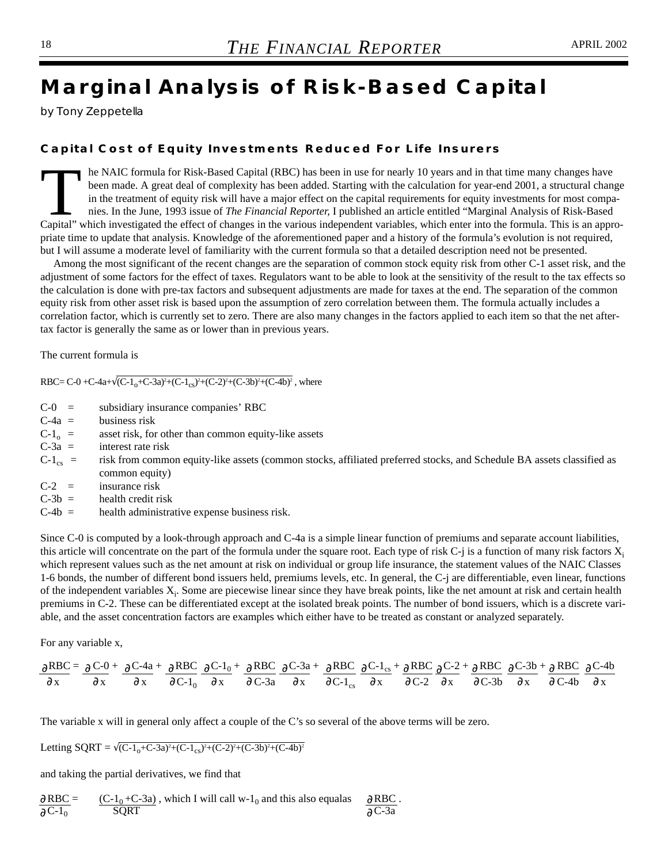## **Marginal Analysis of Risk-Based Capital**

*by Tony Zeppetella*

#### **Capital Cost of Equity Investments Reduced For Life Insurers**

The NAIC formula for Risk-Based Capital (RBC) has been in use for nearly 10 years and in that time many changes have been made. A great deal of complexity has been added. Starting with the calculation for year-end 2001, a been made. A great deal of complexity has been added. Starting with the calculation for year-end 2001, a structural change in the treatment of equity risk will have a major effect on the capital requirements for equity investments for most companies. In the June, 1993 issue of *The Financial Reporter,* I published an article entitled "Marginal Analysis of Risk-Based Capital" which investigated the effect of changes in the various independent variables, which enter into the formula. This is an appropriate time to update that analysis. Knowledge of the aforementioned paper and a history of the formula's evolution is not required, but I will assume a moderate level of familiarity with the current formula so that a detailed description need not be presented.

Among the most significant of the recent changes are the separation of common stock equity risk from other C-1 asset risk, and the adjustment of some factors for the effect of taxes. Regulators want to be able to look at the sensitivity of the result to the tax effects so the calculation is done with pre-tax factors and subsequent adjustments are made for taxes at the end. The separation of the common equity risk from other asset risk is based upon the assumption of zero correlation between them. The formula actually includes a correlation factor, which is currently set to zero. There are also many changes in the factors applied to each item so that the net aftertax factor is generally the same as or lower than in previous years.

The current formula is

RBC= C-0 +C-4a+ $\sqrt{(C-1_{o}+C-3a)^{2}+(C-1_{cs})^{2}+(C-2)^{2}+(C-3b)^{2}+(C-4b)^{2}}$ , where

- C-0 = subsidiary insurance companies' RBC
- $C-4a =$  business risk
- $C-1<sub>o</sub>$  = asset risk, for other than common equity-like assets<br> $C-3a$  = interest rate risk
- interest rate risk
- $C-1_{cs}$  = risk from common equity-like assets (common stocks, affiliated preferred stocks, and Schedule BA assets classified as common equity)
- $C-2 =$  insurance risk<br> $C-3b =$  health credit ri
- health credit risk
- $C-4b =$  health administrative expense business risk.

Since C-0 is computed by a look-through approach and C-4a is a simple linear function of premiums and separate account liabilities, this article will concentrate on the part of the formula under the square root. Each type of risk C-j is a function of many risk factors  $X_i$ which represent values such as the net amount at risk on individual or group life insurance, the statement values of the NAIC Classes 1-6 bonds, the number of different bond issuers held, premiums levels, etc. In general, the C-j are differentiable, even linear, functions of the independent variables  $X_i$ . Some are piecewise linear since they have break points, like the net amount at risk and certain health premiums in C-2. These can be differentiated except at the isolated break points. The number of bond issuers, which is a discrete variable, and the asset concentration factors are examples which either have to be treated as constant or analyzed separately.

For any variable x,

$$
\frac{\partial RBC}{\partial x} = \frac{\partial C \cdot 0}{\partial x} + \frac{\partial C \cdot 4a}{\partial x} + \frac{\partial RBC}{\partial C \cdot 1_0} \frac{\partial C \cdot 1_0}{\partial x} + \frac{\partial RBC}{\partial C \cdot 3a} \frac{\partial C \cdot 3a}{\partial x} + \frac{\partial RBC}{\partial C \cdot 1_{cs}} \frac{\partial C \cdot 1_{cs}}{\partial x} + \frac{\partial RBC}{\partial C \cdot 2} \frac{\partial C \cdot 2}{\partial x} + \frac{\partial RBC}{\partial C \cdot 3b} \frac{\partial C \cdot 3b}{\partial x} + \frac{\partial RBC}{\partial C \cdot 4b} \frac{\partial C \cdot 4b}{\partial x}
$$

The variable x will in general only affect a couple of the C's so several of the above terms will be zero.

Letting SQRT =  $\sqrt{(C-1_0+C-3a)^2+(C-1_{cs})^2+(C-2)^2+(C-3b)^2+(C-4b)^2}$ 

and taking the partial derivatives, we find that

$$
\frac{\partial RBC}{\partial C^{-1}0} = \frac{(C-1_0+C-3a)}{SQRT}
$$
, which I will call w-1<sub>0</sub> and this also equals  $\frac{\partial RBC}{\partial C^{-3}a}$ .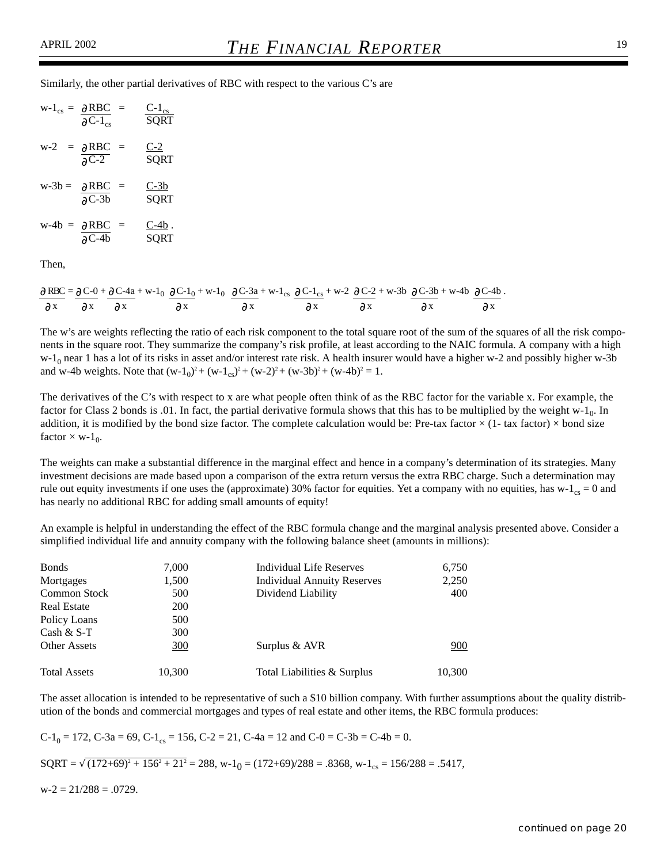Similarly, the other partial derivatives of RBC with respect to the various C's are

|                      | $W-1_{cs} = \partial RBC =$<br>$\partial^2 C$ -1 <sub>cs</sub> | $C-1_{cs}$<br><b>SQRT</b> |
|----------------------|----------------------------------------------------------------|---------------------------|
| $w-2 = \partial RBC$ | $\equiv$<br>$\overline{OC-2}$                                  | $C-2$<br>SORT             |
|                      | $w-3b = \partial RBC =$<br>$AC-3b$                             | $C-3b$<br>SQRT            |
|                      | $w-4b = \partial RBC =$<br>$\partial$ C-4b                     | C-4b.<br>SQRT             |

Then,

 $RBC = \partial C - 0 + \partial C - 4a + w - 1_0 \partial C - 1_0 + w - 1_0 \partial C - 3a + w - 1_{cs} \partial C - 1_{cs} + w - 2 \partial C - 2 + w - 3b \partial C - 3b + w - 4b \partial C - 4b$ . x  $\partial x$   $\partial x$   $\partial x$   $\partial x$   $\partial x$   $\partial x$   $\partial x$   $\partial x$  $9 \text{ RBC} = 9 \text{ C} - 0 + 9$ ∂ ∂ ∂ ∂ ∂  $\partial C - 1_{cs} + w - 2 \partial$  $\partial x$  ∂ ∂ ∂ ∂  $\partial x$   $\partial x$   $\partial x$   $\partial x$   $\partial x$   $\partial$ 

The w's are weights reflecting the ratio of each risk component to the total square root of the sum of the squares of all the risk components in the square root. They summarize the company's risk profile, at least according to the NAIC formula. A company with a high  $w-1<sub>0</sub>$  near 1 has a lot of its risks in asset and/or interest rate risk. A health insurer would have a higher w-2 and possibly higher w-3b and w-4b weights. Note that  $(w-1<sub>0</sub>)<sup>2</sup> + (w-1<sub>cs</sub>)<sup>2</sup> + (w-2)<sup>2</sup> + (w-3b)<sup>2</sup> + (w-4b)<sup>2</sup> = 1$ .

The derivatives of the C's with respect to x are what people often think of as the RBC factor for the variable x. For example, the factor for Class 2 bonds is .01. In fact, the partial derivative formula shows that this has to be multiplied by the weight w-1<sub>0</sub>. In addition, it is modified by the bond size factor. The complete calculation would be: Pre-tax factor  $\times$  (1- tax factor)  $\times$  bond size factor  $\times$  w-1<sub>0</sub>.

The weights can make a substantial difference in the marginal effect and hence in a company's determination of its strategies. Many investment decisions are made based upon a comparison of the extra return versus the extra RBC charge. Such a determination may rule out equity investments if one uses the (approximate) 30% factor for equities. Yet a company with no equities, has  $w-1_{cs} = 0$  and has nearly no additional RBC for adding small amounts of equity!

An example is helpful in understanding the effect of the RBC formula change and the marginal analysis presented above. Consider a simplified individual life and annuity company with the following balance sheet (amounts in millions):

| <b>Bonds</b>        | 7,000      | Individual Life Reserves           | 6,750  |
|---------------------|------------|------------------------------------|--------|
| Mortgages           | 1,500      | <b>Individual Annuity Reserves</b> | 2,250  |
| <b>Common Stock</b> | 500        | Dividend Liability                 | 400    |
| <b>Real Estate</b>  | <b>200</b> |                                    |        |
| Policy Loans        | 500        |                                    |        |
| Cash $&$ S-T        | 300        |                                    |        |
| <b>Other Assets</b> | 300        | Surplus & AVR                      | 900    |
| <b>Total Assets</b> | 10,300     | Total Liabilities & Surplus        | 10,300 |

The asset allocation is intended to be representative of such a \$10 billion company. With further assumptions about the quality distribution of the bonds and commercial mortgages and types of real estate and other items, the RBC formula produces:

$$
C-1_0 = 172
$$
,  $C-3a = 69$ ,  $C-1_{cs} = 156$ ,  $C-2 = 21$ ,  $C-4a = 12$  and  $C-0 = C-3b = C-4b = 0$ .

 $SQRT = \sqrt{(172+69)^2 + 156^2 + 21^2} = 288$ , w-1<sub>0</sub> =  $(172+69)/288 = .8368$ , w-1<sub>cs</sub> = 156/288 = .5417,

 $w-2 = 21/288 = .0729$ .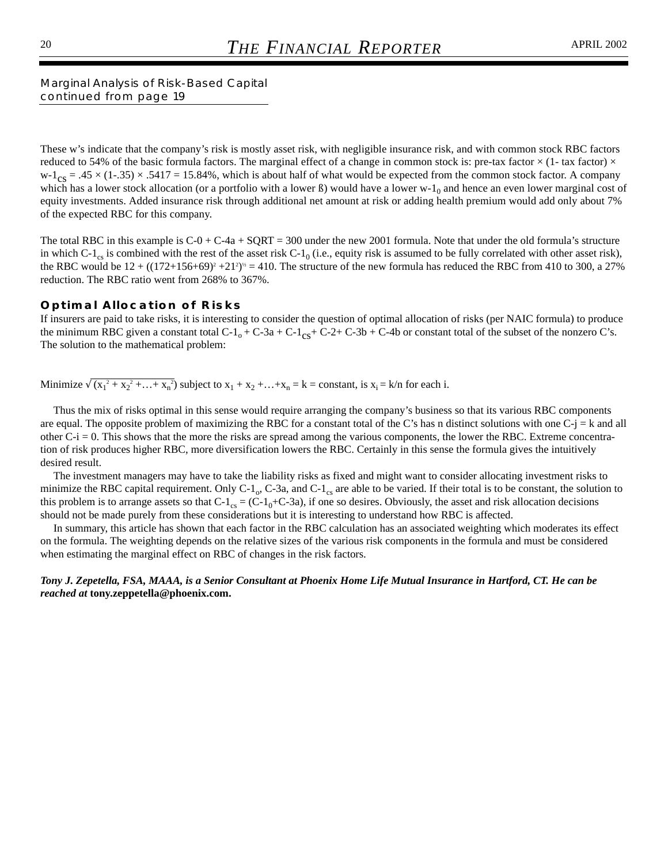*Marginal Analysis of Risk-Based Capital continued from page 19*

These w's indicate that the company's risk is mostly asset risk, with negligible insurance risk, and with common stock RBC factors reduced to 54% of the basic formula factors. The marginal effect of a change in common stock is: pre-tax factor  $\times$  (1- tax factor)  $\times$  $w-1_{cs} = .45 \times (1-.35) \times .5417 = 15.84\%$ , which is about half of what would be expected from the common stock factor. A company which has a lower stock allocation (or a portfolio with a lower  $\beta$ ) would have a lower w-1<sub>0</sub> and hence an even lower marginal cost of equity investments. Added insurance risk through additional net amount at risk or adding health premium would add only about 7% of the expected RBC for this company.

The total RBC in this example is  $C-0 + C-4a + SQRT = 300$  under the new 2001 formula. Note that under the old formula's structure in which  $C-1_{cs}$  is combined with the rest of the asset risk  $C-1_0$  (i.e., equity risk is assumed to be fully correlated with other asset risk), the RBC would be  $12 + ((172+156+69)^2+21^2)^{1/2} = 410$ . The structure of the new formula has reduced the RBC from 410 to 300, a 27% reduction. The RBC ratio went from 268% to 367%.

#### **Optimal Allocation of Risks**

If insurers are paid to take risks, it is interesting to consider the question of optimal allocation of risks (per NAIC formula) to produce the minimum RBC given a constant total  $C_1$ <sub>0</sub> +  $C_2$ 3a +  $C_1$ <sub>Cs</sub>+  $C_2$ 2+  $C_1$ 3b +  $C_2$ 4b or constant total of the subset of the nonzero C's. The solution to the mathematical problem:

Minimize  $\sqrt{(x_1^2 + x_2^2 + ... + x_n^2)}$  subject to  $x_1 + x_2 + ... + x_n = k = \text{constant}$ , is  $x_i = k/n$  for each i.

Thus the mix of risks optimal in this sense would require arranging the company's business so that its various RBC components are equal. The opposite problem of maximizing the RBC for a constant total of the C's has n distinct solutions with one C-j = k and all other  $C-i = 0$ . This shows that the more the risks are spread among the various components, the lower the RBC. Extreme concentration of risk produces higher RBC, more diversification lowers the RBC. Certainly in this sense the formula gives the intuitively desired result.

The investment managers may have to take the liability risks as fixed and might want to consider allocating investment risks to minimize the RBC capital requirement. Only C-1<sub>o</sub>, C-3a, and C-1<sub>cs</sub> are able to be varied. If their total is to be constant, the solution to this problem is to arrange assets so that  $C-1_{cs} = (C-1_0+C-3a)$ , if one so desires. Obviously, the asset and risk allocation decisions should not be made purely from these considerations but it is interesting to understand how RBC is affected.

In summary, this article has shown that each factor in the RBC calculation has an associated weighting which moderates its effect on the formula. The weighting depends on the relative sizes of the various risk components in the formula and must be considered when estimating the marginal effect on RBC of changes in the risk factors.

#### *Tony J. Zepetella, FSA, MAAA, is a Senior Consultant at Phoenix Home Life Mutual Insurance in Hartford, CT. He can be reached at* **tony.zeppetella@phoenix.com.**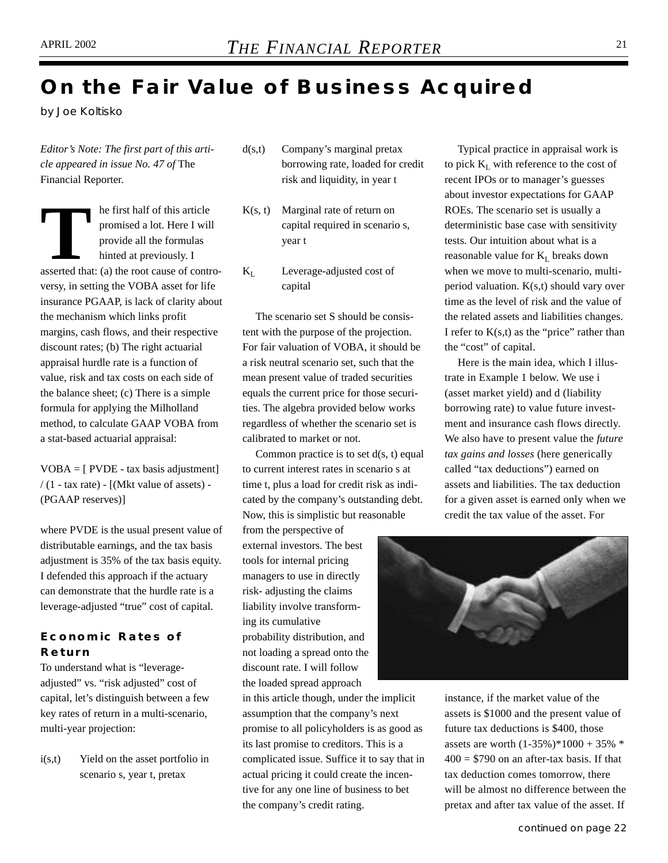### **On the Fair Value of Business Acquired**

*by Joe Koltisko*

*Editor's Note: The first part of this article appeared in issue No. 47 of* The Financial Reporter.

**THE FIRST MANUS TRANSIST PROMINE THE PROPERTY OF STARS SERVICE AND RESPONSIVED ASSERTED AN ABOVE AN ABOVE AN ABOVE THE ABOVE THAT AN ABOVE THE ABOVE THAT AN ABOVE THE ABOVE THAT AN ABOVE THE ABOVE THE ABOVE THE ABOVE THE** promised a lot. Here I will provide all the formulas hinted at previously. I versy, in setting the VOBA asset for life insurance PGAAP, is lack of clarity about the mechanism which links profit margins, cash flows, and their respective discount rates; (b) The right actuarial appraisal hurdle rate is a function of value, risk and tax costs on each side of the balance sheet; (c) There is a simple formula for applying the Milholland method, to calculate GAAP VOBA from a stat-based actuarial appraisal:

VOBA = [ PVDE - tax basis adjustment]  $/(1 - tax rate) - [(Mkt value of assets) -$ (PGAAP reserves)]

where PVDE is the usual present value of distributable earnings, and the tax basis adjustment is 35% of the tax basis equity. I defended this approach if the actuary can demonstrate that the hurdle rate is a leverage-adjusted "true" cost of capital.

#### **Economic Rates of Return**

To understand what is "leverageadjusted" vs. "risk adjusted" cost of capital, let's distinguish between a few key rates of return in a multi-scenario, multi-year projection:

i(s,t) Yield on the asset portfolio in scenario s, year t, pretax

- d(s,t) Company's marginal pretax borrowing rate, loaded for credit risk and liquidity, in year t
- $K(s, t)$  Marginal rate of return on capital required in scenario s, year t
- $K_I$  Leverage-adjusted cost of capital

The scenario set S should be consistent with the purpose of the projection. For fair valuation of VOBA, it should be a risk neutral scenario set, such that the mean present value of traded securities equals the current price for those securities. The algebra provided below works regardless of whether the scenario set is calibrated to market or not.

Common practice is to set  $d(s, t)$  equal to current interest rates in scenario s at time t, plus a load for credit risk as indicated by the company's outstanding debt. Now, this is simplistic but reasonable

from the perspective of external investors. The best tools for internal pricing managers to use in directly risk- adjusting the claims liability involve transforming its cumulative probability distribution, and not loading a spread onto the discount rate. I will follow the loaded spread approach

in this article though, under the implicit assumption that the company's next promise to all policyholders is as good as its last promise to creditors. This is a complicated issue. Suffice it to say that in actual pricing it could create the incentive for any one line of business to bet the company's credit rating.

Typical practice in appraisal work is to pick  $K_L$  with reference to the cost of recent IPOs or to manager's guesses about investor expectations for GAAP ROEs. The scenario set is usually a deterministic base case with sensitivity tests. Our intuition about what is a reasonable value for  $K_L$  breaks down when we move to multi-scenario, multiperiod valuation. K(s,t) should vary over time as the level of risk and the value of the related assets and liabilities changes. I refer to  $K(s,t)$  as the "price" rather than the "cost" of capital.

Here is the main idea, which I illustrate in Example 1 below. We use i (asset market yield) and d (liability borrowing rate) to value future investment and insurance cash flows directly. We also have to present value the *future tax gains and losses* (here generically called "tax deductions") earned on assets and liabilities. The tax deduction for a given asset is earned only when we credit the tax value of the asset. For



instance, if the market value of the assets is \$1000 and the present value of future tax deductions is \$400, those assets are worth (1-35%)\*1000 + 35% \*  $400 = $790$  on an after-tax basis. If that tax deduction comes tomorrow, there will be almost no difference between the pretax and after tax value of the asset. If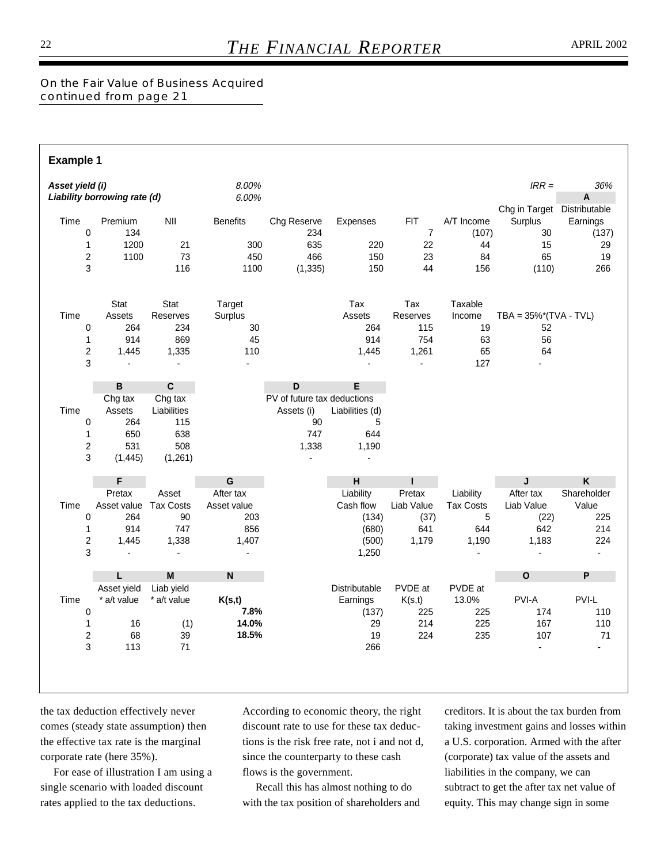*On the Fair Value of Business Acquired continued from page 21*

| <b>Example 1</b>                                  |                                                                          |                                                           |                                                 |                                                                       |                                                            |                                              |                                                    |                                                                   |                                           |
|---------------------------------------------------|--------------------------------------------------------------------------|-----------------------------------------------------------|-------------------------------------------------|-----------------------------------------------------------------------|------------------------------------------------------------|----------------------------------------------|----------------------------------------------------|-------------------------------------------------------------------|-------------------------------------------|
| Asset yield (i)                                   | Liability borrowing rate (d)                                             |                                                           | 8.00%<br>6.00%                                  |                                                                       |                                                            |                                              |                                                    | $IRR =$                                                           | 36%<br>A                                  |
| Time<br>0<br>$\mathbf 1$<br>$\boldsymbol{2}$<br>3 | Premium<br>134<br>1200<br>1100                                           | NII<br>21<br>73<br>116                                    | <b>Benefits</b><br>300<br>450<br>1100           | Chg Reserve<br>234<br>635<br>466<br>(1, 335)                          | <b>Expenses</b><br>220<br>150<br>150                       | <b>FIT</b><br>7<br>22<br>23<br>44            | A/T Income<br>(107)<br>44<br>84<br>156             | Chg in Target Distributable<br>Surplus<br>30<br>15<br>65<br>(110) | Earnings<br>(137)<br>29<br>19<br>266      |
| Time<br>0<br>$\mathbf 1$<br>$\overline{c}$<br>3   | <b>Stat</b><br>Assets<br>264<br>914<br>1,445<br>$\blacksquare$           | Stat<br>Reserves<br>234<br>869<br>1,335<br>$\blacksquare$ | Target<br>Surplus<br>30<br>45<br>110            |                                                                       | Tax<br>Assets<br>264<br>914<br>1,445                       | Tax<br>Reserves<br>115<br>754<br>1,261<br>ä, | Taxable<br>Income<br>19<br>63<br>65<br>127         | TBA = $35\%$ <sup>*</sup> (TVA - TVL)<br>52<br>56<br>64           |                                           |
|                                                   | B                                                                        | $\mathbf c$                                               |                                                 | D                                                                     | E                                                          |                                              |                                                    |                                                                   |                                           |
| Time<br>0<br>1<br>$\overline{c}$<br>3             | Chg tax<br>Assets<br>264<br>650<br>531<br>(1,445)                        | Chg tax<br>Liabilities<br>115<br>638<br>508<br>(1,261)    |                                                 | PV of future tax deductions<br>Assets (i)<br>90<br>747<br>1,338<br>L, | Liabilities (d)<br>5<br>644<br>1,190<br>$\blacksquare$     |                                              |                                                    |                                                                   |                                           |
|                                                   | F                                                                        |                                                           | G                                               |                                                                       | H                                                          | г                                            |                                                    | J                                                                 | $\boldsymbol{\mathsf{K}}$                 |
| Time<br>0<br>$\mathbf{1}$<br>$\overline{c}$<br>3  | Pretax<br>Asset value Tax Costs<br>264<br>914<br>1,445<br>$\overline{a}$ | Asset<br>90<br>747<br>1,338<br>$\blacksquare$             | After tax<br>Asset value<br>203<br>856<br>1,407 |                                                                       | Liability<br>Cash flow<br>(134)<br>(680)<br>(500)<br>1,250 | Pretax<br>Liab Value<br>(37)<br>641<br>1,179 | Liability<br><b>Tax Costs</b><br>5<br>644<br>1,190 | After tax<br>Liab Value<br>(22)<br>642<br>1,183                   | Shareholder<br>Value<br>225<br>214<br>224 |
|                                                   | L.                                                                       | M                                                         | $\mathsf{N}$                                    |                                                                       |                                                            |                                              |                                                    | $\mathbf{o}$                                                      | P                                         |
| Time<br>0<br>1<br>$\boldsymbol{2}$<br>3           | Asset yield<br>* a/t value<br>16<br>68<br>113                            | Liab yield<br>* a/t value<br>(1)<br>39<br>71              | K(s,t)<br>7.8%<br>14.0%<br>18.5%                |                                                                       | Distributable<br>Earnings<br>(137)<br>29<br>19<br>266      | PVDE at<br>K(s,t)<br>225<br>214<br>224       | PVDE at<br>13.0%<br>225<br>225<br>235              | PVI-A<br>174<br>167<br>107<br>ä,                                  | PVI-L<br>110<br>110<br>71                 |
|                                                   |                                                                          |                                                           |                                                 |                                                                       |                                                            |                                              |                                                    |                                                                   |                                           |

the tax deduction effectively never comes (steady state assumption) then the effective tax rate is the marginal corporate rate (here 35%).

For ease of illustration I am using a single scenario with loaded discount rates applied to the tax deductions.

According to economic theory, the right discount rate to use for these tax deductions is the risk free rate, not i and not d, since the counterparty to these cash flows is the government.

Recall this has almost nothing to do with the tax position of shareholders and creditors. It is about the tax burden from taking investment gains and losses within a U.S. corporation. Armed with the after (corporate) tax value of the assets and liabilities in the company, we can subtract to get the after tax net value of equity. This may change sign in some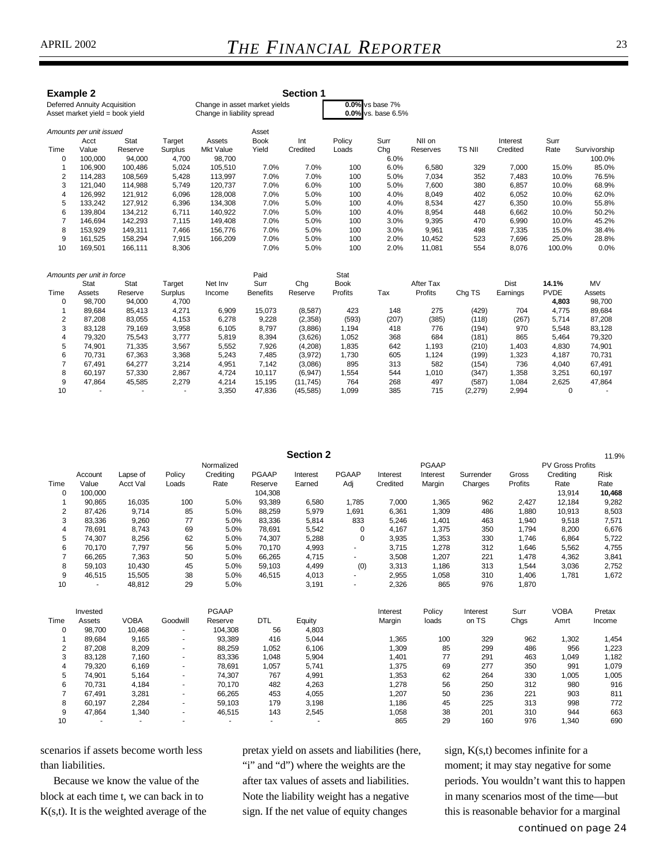| <b>Example 2</b>        | <b>Deferred Annuity Acquisition</b><br>Asset market yield = book yield |             |         | <b>Section 1</b><br>0.0% vs base 7%<br>Change in asset market yields<br>Change in liability spread<br>$0.0\%$ vs. base 6.5% |                 |           |             |       |           |          |             |             |              |  |
|-------------------------|------------------------------------------------------------------------|-------------|---------|-----------------------------------------------------------------------------------------------------------------------------|-----------------|-----------|-------------|-------|-----------|----------|-------------|-------------|--------------|--|
|                         | Amounts per unit issued                                                |             |         |                                                                                                                             | Asset           |           |             |       |           |          |             |             |              |  |
|                         | Acct                                                                   | <b>Stat</b> | Target  | Assets                                                                                                                      | <b>Book</b>     | Int       | Policy      | Surr  | NII on    |          | Interest    | Surr        |              |  |
| Time                    | Value                                                                  | Reserve     | Surplus | <b>Mkt Value</b>                                                                                                            | Yield           | Credited  | Loads       | Chg   | Reserves  | TS NII   | Credited    | Rate        | Survivorship |  |
| 0                       | 100,000                                                                | 94,000      | 4,700   | 98,700                                                                                                                      |                 |           |             | 6.0%  |           |          |             |             | 100.0%       |  |
| 1                       | 106,900                                                                | 100,486     | 5,024   | 105,510                                                                                                                     | 7.0%            | 7.0%      | 100         | 6.0%  | 6,580     | 329      | 7,000       | 15.0%       | 85.0%        |  |
| $\overline{\mathbf{c}}$ | 114,283                                                                | 108,569     | 5,428   | 113,997                                                                                                                     | 7.0%            | 7.0%      | 100         | 5.0%  | 7,034     | 352      | 7,483       | 10.0%       | 76.5%        |  |
| 3                       | 121,040                                                                | 114,988     | 5,749   | 120,737                                                                                                                     | 7.0%            | 6.0%      | 100         | 5.0%  | 7,600     | 380      | 6,857       | 10.0%       | 68.9%        |  |
| 4                       | 126,992                                                                | 121,912     | 6,096   | 128,008                                                                                                                     | 7.0%            | 5.0%      | 100         | 4.0%  | 8,049     | 402      | 6,052       | 10.0%       | 62.0%        |  |
| 5                       | 133,242                                                                | 127,912     | 6,396   | 134,308                                                                                                                     | 7.0%            | 5.0%      | 100         | 4.0%  | 8,534     | 427      | 6,350       | 10.0%       | 55.8%        |  |
| 6                       | 139,804                                                                | 134,212     | 6,711   | 140,922                                                                                                                     | 7.0%            | 5.0%      | 100         | 4.0%  | 8,954     | 448      | 6,662       | 10.0%       | 50.2%        |  |
| $\overline{7}$          | 146,694                                                                | 142,293     | 7,115   | 149,408                                                                                                                     | 7.0%            | 5.0%      | 100         | 3.0%  | 9,395     | 470      | 6,990       | 10.0%       | 45.2%        |  |
| 8                       | 153,929                                                                | 149,311     | 7,466   | 156.776                                                                                                                     | 7.0%            | 5.0%      | 100         | 3.0%  | 9,961     | 498      | 7,335       | 15.0%       | 38.4%        |  |
| 9                       | 161,525                                                                | 158,294     | 7,915   | 166,209                                                                                                                     | 7.0%            | 5.0%      | 100         | 2.0%  | 10,452    | 523      | 7,696       | 25.0%       | 28.8%        |  |
| 10                      | 169,501                                                                | 166,111     | 8,306   |                                                                                                                             | 7.0%            | 5.0%      | 100         | 2.0%  | 11,081    | 554      | 8,076       | 100.0%      | 0.0%         |  |
|                         | Amounts per unit in force                                              |             |         |                                                                                                                             | Paid            |           | Stat        |       |           |          |             |             |              |  |
|                         | Stat                                                                   | <b>Stat</b> | Target  | Net Inv                                                                                                                     | Surr            | Chg       | <b>Book</b> |       | After Tax |          | <b>Dist</b> | 14.1%       | <b>MV</b>    |  |
| Time                    | Assets                                                                 | Reserve     | Surplus | Income                                                                                                                      | <b>Benefits</b> | Reserve   | Profits     | Tax   | Profits   | Chg TS   | Earnings    | <b>PVDE</b> | Assets       |  |
| 0                       | 98,700                                                                 | 94,000      | 4.700   |                                                                                                                             |                 |           |             |       |           |          |             | 4,803       | 98,700       |  |
|                         | 89,684                                                                 | 85,413      | 4,271   | 6,909                                                                                                                       | 15,073          | (8,587)   | 423         | 148   | 275       | (429)    | 704         | 4,775       | 89,684       |  |
| 2                       | 87,208                                                                 | 83,055      | 4,153   | 6,278                                                                                                                       | 9,228           | (2,358)   | (593)       | (207) | (385)     | (118)    | (267)       | 5,714       | 87,208       |  |
| 3                       | 83,128                                                                 | 79,169      | 3,958   | 6,105                                                                                                                       | 8,797           | (3,886)   | 1,194       | 418   | 776       | (194)    | 970         | 5,548       | 83,128       |  |
| 4                       | 79,320                                                                 | 75,543      | 3,777   | 5,819                                                                                                                       | 8,394           | (3,626)   | 1,052       | 368   | 684       | (181)    | 865         | 5,464       | 79,320       |  |
| 5                       | 74,901                                                                 | 71,335      | 3,567   | 5,552                                                                                                                       | 7,926           | (4,208)   | 1,835       | 642   | 1,193     | (210)    | 1,403       | 4,830       | 74,901       |  |
| 6                       | 70,731                                                                 | 67,363      | 3,368   | 5,243                                                                                                                       | 7,485           | (3,972)   | 1,730       | 605   | 1,124     | (199)    | 1,323       | 4,187       | 70,731       |  |
| 7                       | 67,491                                                                 | 64,277      | 3,214   | 4,951                                                                                                                       | 7,142           | (3,086)   | 895         | 313   | 582       | (154)    | 736         | 4,040       | 67,491       |  |
| 8                       | 60,197                                                                 | 57,330      | 2,867   | 4,724                                                                                                                       | 10,117          | (6, 947)  | 1,554       | 544   | 1,010     | (347)    | 1,358       | 3,251       | 60,197       |  |
| 9                       | 47,864                                                                 | 45,585      | 2,279   | 4,214                                                                                                                       | 15,195          | (11, 745) | 764         | 268   | 497       | (587)    | 1,084       | 2,625       | 47,864       |  |
| 10                      |                                                                        |             | ٠       | 3,350                                                                                                                       | 47,836          | (45, 585) | 1,099       | 385   | 715       | (2, 279) | 2,994       | $\Omega$    |              |  |

**Section 2** 11.9%<br>PGAAP POSS Profits Normalized PCAAP PV Gross Profits<br>Crediting PGAAP Interest PGAAP Interest Interest Surrender Gross Crediting Account Lapse of Policy Crediting PGAAP Interest PGAAP Interest Interest Surrender Gross Crediting Risk Time Value Acct Val Loads Rate Reserve Earned Adj Credited Margin Charges Profits Rate Rate 0 100,000 104,308 13,914 **10,468** 1 90,865 16,035 100 5.0% 93,389 6,580 1,785 7,000 1,365 962 2,427 12,184 9,282 2 87,426 9,714 85 5.0% 88,259 5,979 1,691 6,361 1,309 486 1,880 10,913 8,503 3 83,336 9,260 77 5.0% 83,336 5,814 833 5,246 1,401 463 1,940 9,518 7,571 4 78,691 8,743 69 5.0% 78,691 5,542 0 4,167 1,375 350 1,794 8,200 6,676 5 74,307 8,256 62 5.0% 74,307 5,288 0 3,935 1,353 330 1,746 6,864 5,722 6 70,170 7,797 56 5.0% 70,170 4,993 - 3,715 1,278 312 1,646 5,562 4,755 7 66,265 7,363 50 5.0% 66,265 4,715 - 3,508 1,207 221 1,478 4,362 3,841 8 59,103 10,430 45 5.0% 59,103 4,499 (0) 3,313 1,186 313 1,544 3,036 2,752 9 46,515 15,505 38 5.0% 46,515 4,013 - 2,955 1,058 310 1,406 1,781 1,672 10 - 48,812 29 5.0% 3,191 - 2,326 865 976 1,870 Invested **Interest Policy Interest Policy Interest** Surr VOBA Pretax Time Assets VOBA Goodwill Reserve DTL Equity Margin loads on TS Chgs Amrt Income 0 98,700 10,468 - 104,308 56 4,803 1 89,684 9,165 - 93,389 416 5,044 1,365 100 329 962 1,302 1,454 2 87,208 8,209 - 88,259 1,052 6,106 1,309 85 299 486 956 1,223 3 83,128 7,160 - 83,336 1,048 5,904 1,401 77 291 463 1,049 1,182 4 79,320 6,169 - 78,691 1,057 5,741 1,375 69 277 350 991 1,079 5 74,901 5,164 - 74,307 767 4,991 1,353 62 264 330 1,005 1,005 6 70,731 4,184 - 70,170 482 4,263 1,278 56 250 312 980 916 7 67,491 3,281 - 66,265 453 4,055 1,207 50 236 221 903 811 8 60,197 2,284 - 59,103 179 3,198 1,186 45 225 313 998 772 9 47,864 1,340 - 46,515 143 2,545 1,058 38 201 310 944 663 10 - - - - - - 865 29 160 976 1,340 690

scenarios if assets become worth less than liabilities.

Because we know the value of the block at each time t, we can back in to  $K(s,t)$ . It is the weighted average of the pretax yield on assets and liabilities (here, "i" and "d") where the weights are the after tax values of assets and liabilities. Note the liability weight has a negative sign. If the net value of equity changes

sign, K(s,t) becomes infinite for a moment; it may stay negative for some periods. You wouldn't want this to happen in many scenarios most of the time—but this is reasonable behavior for a marginal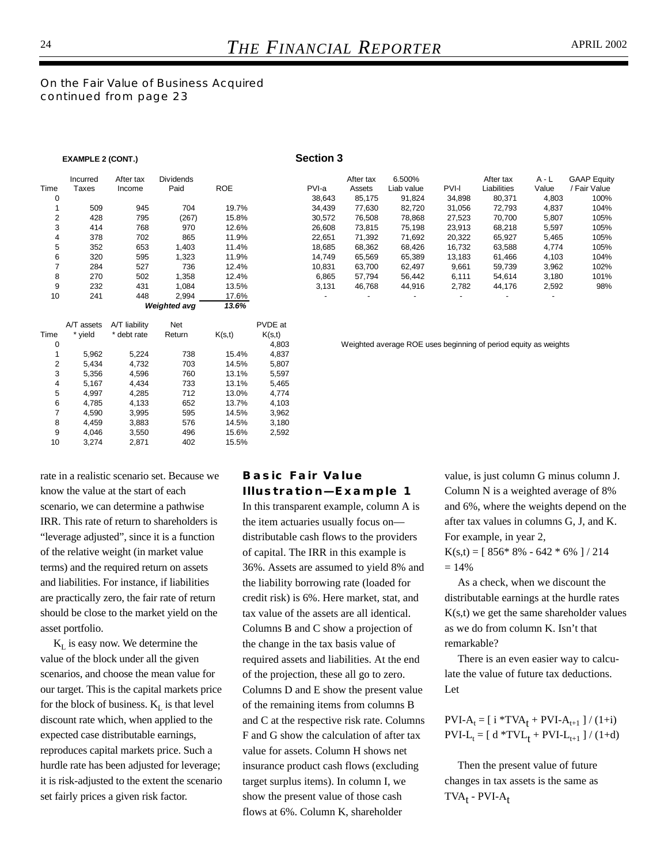*On the Fair Value of Business Acquired continued from page 23*

#### EXAMPLE 2 (CONT.) **Section 3**

|                | Incurred   | After tax     | <b>Dividends</b> |            |        | After tax                | 6.500%                   |              | After tax                | $A - L$                  | <b>GAAP Equity</b> |
|----------------|------------|---------------|------------------|------------|--------|--------------------------|--------------------------|--------------|--------------------------|--------------------------|--------------------|
| Time           | Taxes      | Income        | Paid             | <b>ROE</b> | PVI-a  | Assets                   | Liab value               | <b>PVI-I</b> | Liabilities              | Value                    | / Fair Value       |
| 0              |            |               |                  |            | 38,643 | 85.175                   | 91,824                   | 34,898       | 80,371                   | 4,803                    | 100%               |
|                | 509        | 945           | 704              | 19.7%      | 34,439 | 77,630                   | 82,720                   | 31,056       | 72,793                   | 4,837                    | 104%               |
| $\overline{2}$ | 428        | 795           | (267)            | 15.8%      | 30,572 | 76,508                   | 78,868                   | 27,523       | 70,700                   | 5,807                    | 105%               |
| 3              | 414        | 768           | 970              | 12.6%      | 26,608 | 73,815                   | 75,198                   | 23,913       | 68,218                   | 5,597                    | 105%               |
| 4              | 378        | 702           | 865              | 11.9%      | 22,651 | 71,392                   | 71,692                   | 20,322       | 65,927                   | 5,465                    | 105%               |
| 5              | 352        | 653           | 1,403            | 11.4%      | 18,685 | 68,362                   | 68,426                   | 16,732       | 63,588                   | 4,774                    | 105%               |
| 6              | 320        | 595           | 1,323            | 11.9%      | 14,749 | 65,569                   | 65,389                   | 13,183       | 61,466                   | 4,103                    | 104%               |
|                | 284        | 527           | 736              | 12.4%      | 10,831 | 63,700                   | 62,497                   | 9,661        | 59,739                   | 3,962                    | 102%               |
| 8              | 270        | 502           | 1,358            | 12.4%      | 6,865  | 57.794                   | 56,442                   | 6,111        | 54.614                   | 3,180                    | 101%               |
| 9              | 232        | 431           | 1,084            | 13.5%      | 3,131  | 46,768                   | 44,916                   | 2,782        | 44,176                   | 2,592                    | 98%                |
| 10             | 241        | 448           | 2,994            | 17.6%      |        | $\overline{\phantom{0}}$ | $\overline{\phantom{0}}$ |              | $\overline{\phantom{a}}$ | $\overline{\phantom{a}}$ |                    |
|                |            |               | Weighted avg     | 13.6%      |        |                          |                          |              |                          |                          |                    |
|                | A/T assets | A/T liability | <b>Net</b>       | PVDE at    |        |                          |                          |              |                          |                          |                    |

| Time<br>0 | A/T assets<br>* vield | A/T liability<br>* debt rate | <b>Net</b><br>Return | K(s,t) | PVDE at<br>K(s,t)<br>4,803 |
|-----------|-----------------------|------------------------------|----------------------|--------|----------------------------|
| 1         | 5.962                 | 5.224                        | 738                  | 15.4%  | 4,837                      |
| 2         | 5,434                 | 4,732                        | 703                  | 14.5%  | 5,807                      |
| 3         | 5,356                 | 4,596                        | 760                  | 13.1%  | 5,597                      |
| 4         | 5,167                 | 4,434                        | 733                  | 13.1%  | 5,465                      |
| 5         | 4,997                 | 4,285                        | 712                  | 13.0%  | 4,774                      |
| 6         | 4,785                 | 4,133                        | 652                  | 13.7%  | 4,103                      |
| 7         | 4.590                 | 3,995                        | 595                  | 14.5%  | 3,962                      |
| 8         | 4.459                 | 3,883                        | 576                  | 14.5%  | 3,180                      |
| 9         | 4.046                 | 3,550                        | 496                  | 15.6%  | 2,592                      |
| 10        | 3.274                 | 2,871                        | 402                  | 15.5%  |                            |

Weighted average ROE uses beginning of period equity as weights

rate in a realistic scenario set. Because we know the value at the start of each scenario, we can determine a pathwise IRR. This rate of return to shareholders is "leverage adjusted", since it is a function of the relative weight (in market value terms) and the required return on assets and liabilities. For instance, if liabilities are practically zero, the fair rate of return should be close to the market yield on the asset portfolio.

 $K_L$  is easy now. We determine the value of the block under all the given scenarios, and choose the mean value for our target. This is the capital markets price for the block of business.  $K_L$  is that level discount rate which, when applied to the expected case distributable earnings, reproduces capital markets price. Such a hurdle rate has been adjusted for leverage; it is risk-adjusted to the extent the scenario set fairly prices a given risk factor.

#### **Basic Fair Value Illustration—Example 1**

In this transparent example, column A is the item actuaries usually focus on distributable cash flows to the providers of capital. The IRR in this example is 36%. Assets are assumed to yield 8% and the liability borrowing rate (loaded for credit risk) is 6%. Here market, stat, and tax value of the assets are all identical. Columns B and C show a projection of the change in the tax basis value of required assets and liabilities. At the end of the projection, these all go to zero. Columns D and E show the present value of the remaining items from columns B and C at the respective risk rate. Columns F and G show the calculation of after tax value for assets. Column H shows net insurance product cash flows (excluding target surplus items). In column I, we show the present value of those cash flows at 6%. Column K, shareholder

value, is just column G minus column J. Column N is a weighted average of 8% and 6%, where the weights depend on the after tax values in columns G, J, and K. For example, in year 2,  $K(s,t) = [ 856*8\% - 642*6\% ] / 214$  $= 14\%$ 

As a check, when we discount the distributable earnings at the hurdle rates  $K(s,t)$  we get the same shareholder values as we do from column K. Isn't that remarkable?

There is an even easier way to calculate the value of future tax deductions. Let

#### $PVI-A_t = [ i *TVA_t + PVI-A_{t+1} ] / (1+i)$  $PVI-L_t = [ d * TVL_t + PVI-L_{t+1} ] / (1+d)$

Then the present value of future changes in tax assets is the same as  $TVA_t - PVI-A_t$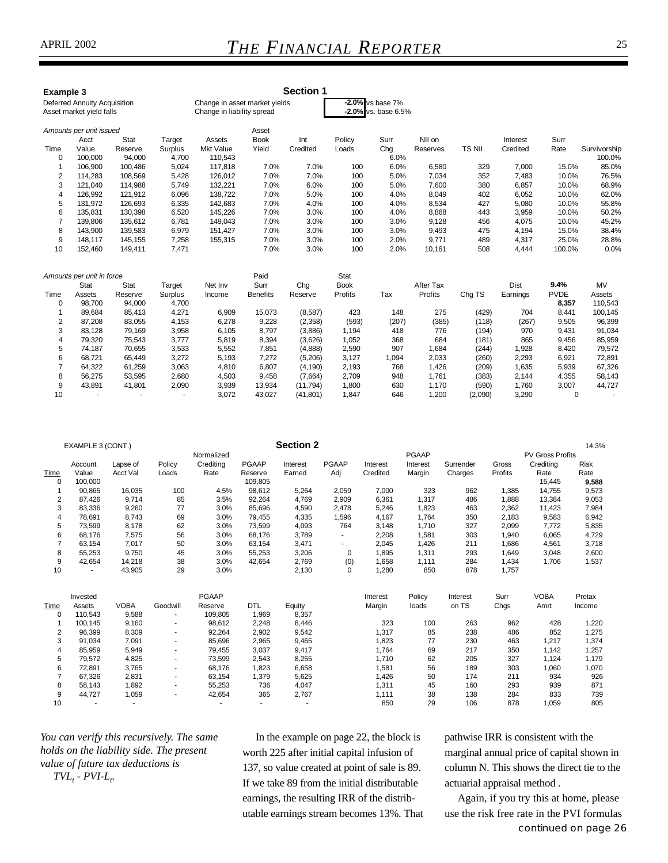| Example 3               | <b>Deferred Annuity Acquisition</b><br>Asset market yield falls |         |         | <b>Section 1</b><br>$-2.0\%$ vs base 7%<br>Change in asset market yields<br>$-2.0\%$ vs. base 6.5%<br>Change in liability spread |                 |           |             |       |           |         |          |             |              |
|-------------------------|-----------------------------------------------------------------|---------|---------|----------------------------------------------------------------------------------------------------------------------------------|-----------------|-----------|-------------|-------|-----------|---------|----------|-------------|--------------|
|                         | Amounts per unit issued                                         |         |         |                                                                                                                                  | Asset           |           |             |       |           |         |          |             |              |
|                         | Acct                                                            | Stat    | Target  | Assets                                                                                                                           | <b>Book</b>     | Int       | Policy      | Surr  | NII on    |         | Interest | Surr        |              |
| Time                    | Value                                                           | Reserve | Surplus | <b>Mkt Value</b>                                                                                                                 | Yield           | Credited  | Loads       | Chg   | Reserves  | TS NII  | Credited | Rate        | Survivorship |
| $\mathbf 0$             | 100.000                                                         | 94,000  | 4,700   | 110,543                                                                                                                          |                 |           |             | 6.0%  |           |         |          |             | 100.0%       |
| 1                       | 106,900                                                         | 100,486 | 5,024   | 117,818                                                                                                                          | 7.0%            | 7.0%      | 100         | 6.0%  | 6,580     | 329     | 7,000    | 15.0%       | 85.0%        |
| $\overline{\mathbf{c}}$ | 114,283                                                         | 108,569 | 5,428   | 126,012                                                                                                                          | 7.0%            | 7.0%      | 100         | 5.0%  | 7,034     | 352     | 7,483    | 10.0%       | 76.5%        |
| 3                       | 121,040                                                         | 114,988 | 5.749   | 132,221                                                                                                                          | 7.0%            | 6.0%      | 100         | 5.0%  | 7,600     | 380     | 6,857    | 10.0%       | 68.9%        |
| 4                       | 126,992                                                         | 121,912 | 6,096   | 138,722                                                                                                                          | 7.0%            | 5.0%      | 100         | 4.0%  | 8,049     | 402     | 6,052    | 10.0%       | 62.0%        |
| 5                       | 131,972                                                         | 126,693 | 6,335   | 142,683                                                                                                                          | 7.0%            | 4.0%      | 100         | 4.0%  | 8,534     | 427     | 5,080    | 10.0%       | 55.8%        |
| 6                       | 135,831                                                         | 130,398 | 6,520   | 145,226                                                                                                                          | 7.0%            | 3.0%      | 100         | 4.0%  | 8,868     | 443     | 3,959    | 10.0%       | 50.2%        |
| $\overline{7}$          | 139,806                                                         | 135,612 | 6,781   | 149,043                                                                                                                          | 7.0%            | 3.0%      | 100         | 3.0%  | 9,128     | 456     | 4,075    | 10.0%       | 45.2%        |
| 8                       | 143,900                                                         | 139,583 | 6,979   | 151,427                                                                                                                          | 7.0%            | 3.0%      | 100         | 3.0%  | 9,493     | 475     | 4,194    | 15.0%       | 38.4%        |
| 9                       | 148,117                                                         | 145,155 | 7,258   | 155,315                                                                                                                          | 7.0%            | 3.0%      | 100         | 2.0%  | 9,771     | 489     | 4,317    | 25.0%       | 28.8%        |
| 10                      | 152,460                                                         | 149,411 | 7,471   |                                                                                                                                  | 7.0%            | 3.0%      | 100         | 2.0%  | 10,161    | 508     | 4,444    | 100.0%      | 0.0%         |
|                         | Amounts per unit in force                                       |         |         |                                                                                                                                  | Paid            |           | Stat        |       |           |         |          |             |              |
|                         | Stat                                                            | Stat    | Target  | Net Inv                                                                                                                          | Surr            | Chq       | <b>Book</b> |       | After Tax |         | Dist     | 9.4%        | MV           |
| Time                    | Assets                                                          | Reserve | Surplus | Income                                                                                                                           | <b>Benefits</b> | Reserve   | Profits     | Tax   | Profits   | Chg TS  | Earnings | <b>PVDE</b> | Assets       |
| 0                       | 98,700                                                          | 94,000  | 4,700   |                                                                                                                                  |                 |           |             |       |           |         |          | 8,357       | 110,543      |
|                         | 89,684                                                          | 85,413  | 4,271   | 6,909                                                                                                                            | 15,073          | (8,587)   | 423         | 148   | 275       | (429)   | 704      | 8,441       | 100,145      |
| 2                       | 87,208                                                          | 83,055  | 4,153   | 6,278                                                                                                                            | 9,228           | (2,358)   | (593)       | (207) | (385)     | (118)   | (267)    | 9,505       | 96,399       |
| 3                       | 83,128                                                          | 79,169  | 3,958   | 6,105                                                                                                                            | 8,797           | (3,886)   | 1,194       | 418   | 776       | (194)   | 970      | 9,431       | 91,034       |
| $\overline{4}$          | 79,320                                                          | 75,543  | 3,777   | 5,819                                                                                                                            | 8,394           | (3,626)   | 1,052       | 368   | 684       | (181)   | 865      | 9,456       | 85,959       |
| 5                       | 74,187                                                          | 70,655  | 3,533   | 5,552                                                                                                                            | 7,851           | (4,888)   | 2,590       | 907   | 1,684     | (244)   | 1,928    | 8,420       | 79,572       |
| 6                       | 68,721                                                          | 65,449  | 3,272   | 5,193                                                                                                                            | 7,272           | (5,206)   | 3,127       | 1,094 | 2,033     | (260)   | 2,293    | 6,921       | 72,891       |
| $\overline{7}$          | 64,322                                                          | 61,259  | 3,063   | 4,810                                                                                                                            | 6,807           | (4, 190)  | 2,193       | 768   | 1,426     | (209)   | 1,635    | 5,939       | 67,326       |
| 8                       | 56,275                                                          | 53,595  | 2,680   | 4,503                                                                                                                            | 9,458           | (7,664)   | 2,709       | 948   | 1,761     | (383)   | 2,144    | 4,355       | 58,143       |
| 9                       | 43,891                                                          | 41,801  | 2,090   | 3,939                                                                                                                            | 13,934          | (11,794)  | 1,800       | 630   | 1,170     | (590)   | 1,760    | 3,007       | 44,727       |
| 10                      |                                                                 |         | ٠       | 3,072                                                                                                                            | 43,027          | (41, 801) | 1,847       | 646   | 1,200     | (2,090) | 3,290    | $\Omega$    |              |

|                | EXAMPLE 3 (CONT.) |             |                          |              |                          | <b>Section 2</b> |              |          |              |           |         |                         | 14.3%       |
|----------------|-------------------|-------------|--------------------------|--------------|--------------------------|------------------|--------------|----------|--------------|-----------|---------|-------------------------|-------------|
|                |                   |             |                          | Normalized   |                          |                  |              |          | <b>PGAAP</b> |           |         | <b>PV Gross Profits</b> |             |
|                | Account           | Lapse of    | Policy                   | Crediting    | <b>PGAAP</b>             | Interest         | <b>PGAAP</b> | Interest | Interest     | Surrender | Gross   | Crediting               | <b>Risk</b> |
| <b>Time</b>    | Value             | Acct Val    | Loads                    | Rate         | Reserve                  | Earned           | Adj          | Credited | Margin       | Charges   | Profits | Rate                    | Rate        |
| $\mathbf 0$    | 100,000           |             |                          |              | 109,805                  |                  |              |          |              |           |         | 15,445                  | 9,588       |
|                | 90,865            | 16,035      | 100                      | 4.5%         | 98,612                   | 5,264            | 2,059        | 7,000    | 323          | 962       | 1,385   | 14,755                  | 9,573       |
| $\overline{2}$ | 87,426            | 9,714       | 85                       | 3.5%         | 92,264                   | 4,769            | 2,909        | 6,361    | 1,317        | 486       | 1,888   | 13,384                  | 9,053       |
| 3              | 83,336            | 9,260       | 77                       | 3.0%         | 85,696                   | 4,590            | 2,478        | 5,246    | 1,823        | 463       | 2,362   | 11,423                  | 7,984       |
| 4              | 78,691            | 8,743       | 69                       | 3.0%         | 79,455                   | 4,335            | 1,596        | 4,167    | 1,764        | 350       | 2,183   | 9,583                   | 6,942       |
| 5              | 73,599            | 8,178       | 62                       | 3.0%         | 73,599                   | 4,093            | 764          | 3,148    | 1,710        | 327       | 2,099   | 7,772                   | 5,835       |
| 6              | 68,176            | 7,575       | 56                       | 3.0%         | 68,176                   | 3,789            |              | 2,208    | 1,581        | 303       | 1,940   | 6,065                   | 4,729       |
| 7              | 63,154            | 7.017       | 50                       | 3.0%         | 63,154                   | 3,471            | ٠            | 2,045    | 1,426        | 211       | 1,686   | 4,561                   | 3,718       |
| 8              | 55,253            | 9,750       | 45                       | 3.0%         | 55,253                   | 3,206            | 0            | 1,895    | 1,311        | 293       | 1,649   | 3,048                   | 2,600       |
| 9              | 42,654            | 14,218      | 38                       | 3.0%         | 42,654                   | 2,769            | (0)          | 1,658    | 1,111        | 284       | 1,434   | 1,706                   | 1,537       |
| 10             | ٠                 | 43,905      | 29                       | 3.0%         |                          | 2,130            | 0            | 1,280    | 850          | 878       | 1,757   |                         |             |
|                | Invested          |             |                          | <b>PGAAP</b> |                          |                  |              | Interest | Policy       | Interest  | Surr    | <b>VOBA</b>             | Pretax      |
| Time           | Assets            | <b>VOBA</b> | Goodwill                 | Reserve      | <b>DTL</b>               | Equity           |              | Margin   | loads        | on TS     | Chgs    | Amrt                    | Income      |
| $\Omega$       | 110,543           | 9,588       |                          | 109,805      | 1,969                    | 8,357            |              |          |              |           |         |                         |             |
|                | 100,145           | 9,160       | $\overline{\phantom{a}}$ | 98,612       | 2,248                    | 8,446            |              | 323      | 100          | 263       | 962     | 428                     | 1,220       |
| $\overline{2}$ | 96,399            | 8,309       | $\overline{\phantom{a}}$ | 92,264       | 2,902                    | 9,542            |              | 1,317    | 85           | 238       | 486     | 852                     | 1,275       |
| 3              | 91,034            | 7,091       | ٠                        | 85,696       | 2,965                    | 9,465            |              | 1,823    | 77           | 230       | 463     | 1,217                   | 1,374       |
| 4              | 85,959            | 5,949       | ٠                        | 79,455       | 3,037                    | 9,417            |              | 1,764    | 69           | 217       | 350     | 1,142                   | 1,257       |
| 5              | 79,572            | 4,825       | ٠                        | 73,599       | 2,543                    | 8,255            |              | 1,710    | 62           | 205       | 327     | 1,124                   | 1,179       |
| 6              | 72,891            | 3,765       | ٠                        | 68,176       | 1,823                    | 6,658            |              | 1,581    | 56           | 189       | 303     | 1,060                   | 1,070       |
| $\overline{7}$ | 67,326            | 2,831       | ٠                        | 63,154       | 1,379                    | 5,625            |              | 1,426    | 50           | 174       | 211     | 934                     | 926         |
| 8              | 58,143            | 1,892       | $\overline{\phantom{a}}$ | 55,253       | 736                      | 4,047            |              | 1,311    | 45           | 160       | 293     | 939                     | 871         |
| 9              | 44,727            | 1,059       | ٠                        | 42,654       | 365                      | 2,767            |              | 1,111    | 38           | 138       | 284     | 833                     | 739         |
| 10             |                   |             |                          |              | $\overline{\phantom{a}}$ |                  |              | 850      | 29           | 106       | 878     | 1,059                   | 805         |

*You can verify this recursively. The same holds on the liability side. The present value of future tax deductions is*  $TVL_t$  *-*  $PVI$ *-* $L_t$ *.* 

In the example on page 22, the block is worth 225 after initial capital infusion of 137, so value created at point of sale is 89. If we take 89 from the initial distributable earnings, the resulting IRR of the distributable earnings stream becomes 13%. That pathwise IRR is consistent with the marginal annual price of capital shown in column N. This shows the direct tie to the actuarial appraisal method .

*continued on page 26* Again, if you try this at home, please use the risk free rate in the PVI formulas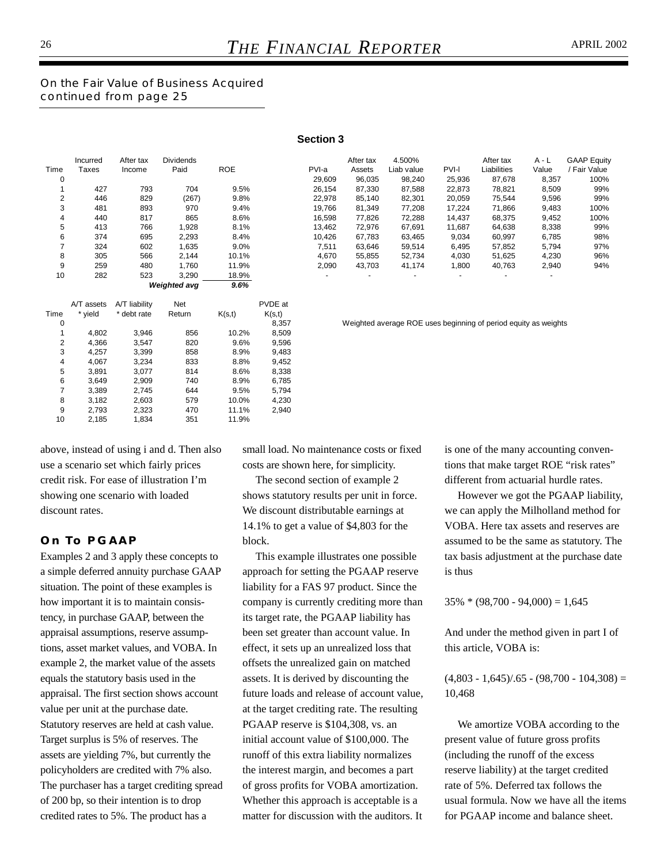*On the Fair Value of Business Acquired continued from page 25*

|      |          |           |                     |            | <b>JELIUII J</b> |                          |            |                          |                          |                          |                    |
|------|----------|-----------|---------------------|------------|------------------|--------------------------|------------|--------------------------|--------------------------|--------------------------|--------------------|
|      | Incurred | After tax | <b>Dividends</b>    |            |                  | After tax                | 4.500%     |                          | After tax                | $A - L$                  | <b>GAAP Equity</b> |
| Time | Taxes    | Income    | Paid                | <b>ROE</b> | PVI-a            | Assets                   | Liab value | <b>PVI-I</b>             | Liabilities              | Value                    | / Fair Value       |
| 0    |          |           |                     |            | 29,609           | 96,035                   | 98,240     | 25,936                   | 87,678                   | 8,357                    | 100%               |
|      | 427      | 793       | 704                 | 9.5%       | 26,154           | 87,330                   | 87,588     | 22,873                   | 78,821                   | 8,509                    | 99%                |
| 2    | 446      | 829       | (267)               | 9.8%       | 22,978           | 85,140                   | 82,301     | 20,059                   | 75,544                   | 9,596                    | 99%                |
| 3    | 481      | 893       | 970                 | 9.4%       | 19,766           | 81,349                   | 77,208     | 17,224                   | 71,866                   | 9,483                    | 100%               |
| 4    | 440      | 817       | 865                 | 8.6%       | 16,598           | 77,826                   | 72,288     | 14,437                   | 68,375                   | 9,452                    | 100%               |
| 5    | 413      | 766       | 1,928               | 8.1%       | 13,462           | 72,976                   | 67,691     | 11,687                   | 64,638                   | 8,338                    | 99%                |
| 6    | 374      | 695       | 2,293               | 8.4%       | 10,426           | 67.783                   | 63,465     | 9,034                    | 60,997                   | 6,785                    | 98%                |
|      | 324      | 602       | 1,635               | 9.0%       | 7,511            | 63.646                   | 59,514     | 6,495                    | 57,852                   | 5,794                    | 97%                |
| 8    | 305      | 566       | 2,144               | 10.1%      | 4,670            | 55,855                   | 52,734     | 4,030                    | 51,625                   | 4,230                    | 96%                |
| 9    | 259      | 480       | 1.760               | 11.9%      | 2,090            | 43,703                   | 41,174     | 1,800                    | 40,763                   | 2,940                    | 94%                |
| 10   | 282      | 523       | 3,290               | 18.9%      |                  | $\overline{\phantom{a}}$ |            | $\overline{\phantom{a}}$ | $\overline{\phantom{a}}$ | $\overline{\phantom{0}}$ |                    |
|      |          |           | <b>Weighted avg</b> | 9.6%       |                  |                          |            |                          |                          |                          |                    |

**Section 3**

|      | A/T assets | A/T liability | <b>Net</b> |        | PVDE at |
|------|------------|---------------|------------|--------|---------|
| Time | * vield    | * debt rate   | Return     | K(s,t) | K(s,t)  |
| 0    |            |               |            |        | 8,357   |
| 1    | 4,802      | 3.946         | 856        | 10.2%  | 8,509   |
| 2    | 4,366      | 3.547         | 820        | 9.6%   | 9,596   |
| 3    | 4,257      | 3.399         | 858        | 8.9%   | 9.483   |
| 4    | 4.067      | 3.234         | 833        | 8.8%   | 9,452   |
| 5    | 3,891      | 3,077         | 814        | 8.6%   | 8,338   |
| 6    | 3.649      | 2.909         | 740        | 8.9%   | 6.785   |
| 7    | 3,389      | 2,745         | 644        | 9.5%   | 5,794   |
| 8    | 3,182      | 2,603         | 579        | 10.0%  | 4,230   |
| 9    | 2,793      | 2,323         | 470        | 11.1%  | 2,940   |
| 10   | 2,185      | 1.834         | 351        | 11.9%  |         |

Weighted average ROE uses beginning of period equity as weights

above, instead of using i and d. Then also use a scenario set which fairly prices credit risk. For ease of illustration I'm showing one scenario with loaded discount rates.

#### **On To PGAAP**

Examples 2 and 3 apply these concepts to a simple deferred annuity purchase GAAP situation. The point of these examples is how important it is to maintain consistency, in purchase GAAP, between the appraisal assumptions, reserve assumptions, asset market values, and VOBA. In example 2, the market value of the assets equals the statutory basis used in the appraisal. The first section shows account value per unit at the purchase date. Statutory reserves are held at cash value. Target surplus is 5% of reserves. The assets are yielding 7%, but currently the policyholders are credited with 7% also. The purchaser has a target crediting spread of 200 bp, so their intention is to drop credited rates to 5%. The product has a

small load. No maintenance costs or fixed costs are shown here, for simplicity.

The second section of example 2 shows statutory results per unit in force. We discount distributable earnings at 14.1% to get a value of \$4,803 for the block.

This example illustrates one possible approach for setting the PGAAP reserve liability for a FAS 97 product. Since the company is currently crediting more than its target rate, the PGAAP liability has been set greater than account value. In effect, it sets up an unrealized loss that offsets the unrealized gain on matched assets. It is derived by discounting the future loads and release of account value, at the target crediting rate. The resulting PGAAP reserve is \$104,308, vs. an initial account value of \$100,000. The runoff of this extra liability normalizes the interest margin, and becomes a part of gross profits for VOBA amortization. Whether this approach is acceptable is a matter for discussion with the auditors. It

is one of the many accounting conventions that make target ROE "risk rates" different from actuarial hurdle rates.

However we got the PGAAP liability, we can apply the Milholland method for VOBA. Here tax assets and reserves are assumed to be the same as statutory. The tax basis adjustment at the purchase date is thus

 $35\% * (98,700 - 94,000) = 1,645$ 

And under the method given in part I of this article, VOBA is:

 $(4,803 - 1,645)/0.65 - (98,700 - 104,308) =$ 10,468

We amortize VOBA according to the present value of future gross profits (including the runoff of the excess reserve liability) at the target credited rate of 5%. Deferred tax follows the usual formula. Now we have all the items for PGAAP income and balance sheet.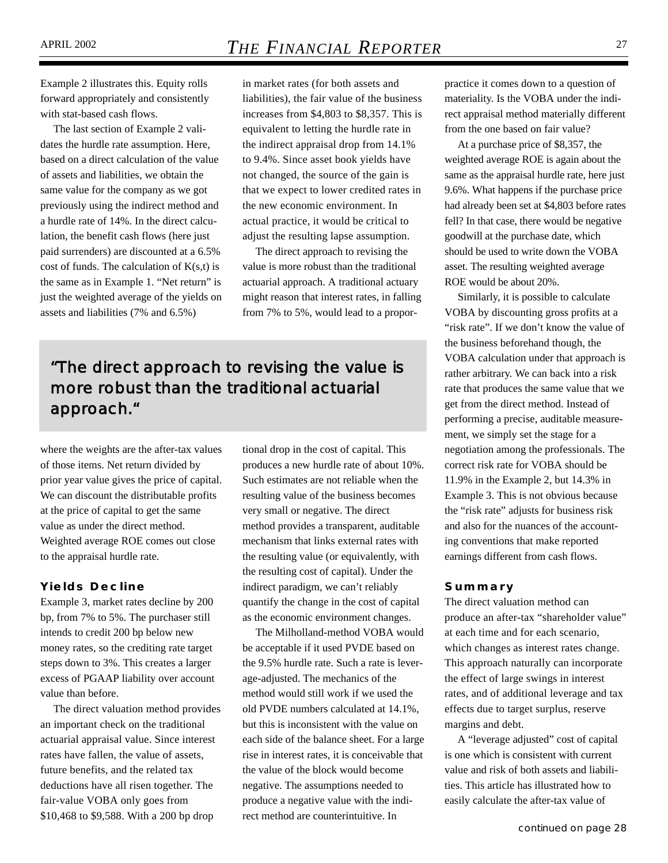Example 2 illustrates this. Equity rolls forward appropriately and consistently with stat-based cash flows.

The last section of Example 2 validates the hurdle rate assumption. Here, based on a direct calculation of the value of assets and liabilities, we obtain the same value for the company as we got previously using the indirect method and a hurdle rate of 14%. In the direct calculation, the benefit cash flows (here just paid surrenders) are discounted at a 6.5% cost of funds. The calculation of  $K(s,t)$  is the same as in Example 1. "Net return" is just the weighted average of the yields on assets and liabilities (7% and 6.5%)

in market rates (for both assets and liabilities), the fair value of the business increases from \$4,803 to \$8,357. This is equivalent to letting the hurdle rate in the indirect appraisal drop from 14.1% to 9.4%. Since asset book yields have not changed, the source of the gain is that we expect to lower credited rates in the new economic environment. In actual practice, it would be critical to adjust the resulting lapse assumption.

The direct approach to revising the value is more robust than the traditional actuarial approach. A traditional actuary might reason that interest rates, in falling from 7% to 5%, would lead to a propor-

*"The direct approach to revising the value is more robust than the traditional actuarial approach."*

where the weights are the after-tax values of those items. Net return divided by prior year value gives the price of capital. We can discount the distributable profits at the price of capital to get the same value as under the direct method. Weighted average ROE comes out close to the appraisal hurdle rate.

#### **Yields Decline**

Example 3, market rates decline by 200 bp, from 7% to 5%. The purchaser still intends to credit 200 bp below new money rates, so the crediting rate target steps down to 3%. This creates a larger excess of PGAAP liability over account value than before.

The direct valuation method provides an important check on the traditional actuarial appraisal value. Since interest rates have fallen, the value of assets, future benefits, and the related tax deductions have all risen together. The fair-value VOBA only goes from \$10,468 to \$9,588. With a 200 bp drop

tional drop in the cost of capital. This produces a new hurdle rate of about 10%. Such estimates are not reliable when the resulting value of the business becomes very small or negative. The direct method provides a transparent, auditable mechanism that links external rates with the resulting value (or equivalently, with the resulting cost of capital). Under the indirect paradigm, we can't reliably quantify the change in the cost of capital as the economic environment changes.

The Milholland-method VOBA would be acceptable if it used PVDE based on the 9.5% hurdle rate. Such a rate is leverage-adjusted. The mechanics of the method would still work if we used the old PVDE numbers calculated at 14.1%, but this is inconsistent with the value on each side of the balance sheet. For a large rise in interest rates, it is conceivable that the value of the block would become negative. The assumptions needed to produce a negative value with the indirect method are counterintuitive. In

practice it comes down to a question of materiality. Is the VOBA under the indirect appraisal method materially different from the one based on fair value?

At a purchase price of \$8,357, the weighted average ROE is again about the same as the appraisal hurdle rate, here just 9.6%. What happens if the purchase price had already been set at \$4,803 before rates fell? In that case, there would be negative goodwill at the purchase date, which should be used to write down the VOBA asset. The resulting weighted average ROE would be about 20%.

Similarly, it is possible to calculate VOBA by discounting gross profits at a "risk rate". If we don't know the value of the business beforehand though, the VOBA calculation under that approach is rather arbitrary. We can back into a risk rate that produces the same value that we get from the direct method. Instead of performing a precise, auditable measurement, we simply set the stage for a negotiation among the professionals. The correct risk rate for VOBA should be 11.9% in the Example 2, but 14.3% in Example 3. This is not obvious because the "risk rate" adjusts for business risk and also for the nuances of the accounting conventions that make reported earnings different from cash flows.

#### **Summary**

The direct valuation method can produce an after-tax "shareholder value" at each time and for each scenario, which changes as interest rates change. This approach naturally can incorporate the effect of large swings in interest rates, and of additional leverage and tax effects due to target surplus, reserve margins and debt.

A "leverage adjusted" cost of capital is one which is consistent with current value and risk of both assets and liabilities. This article has illustrated how to easily calculate the after-tax value of